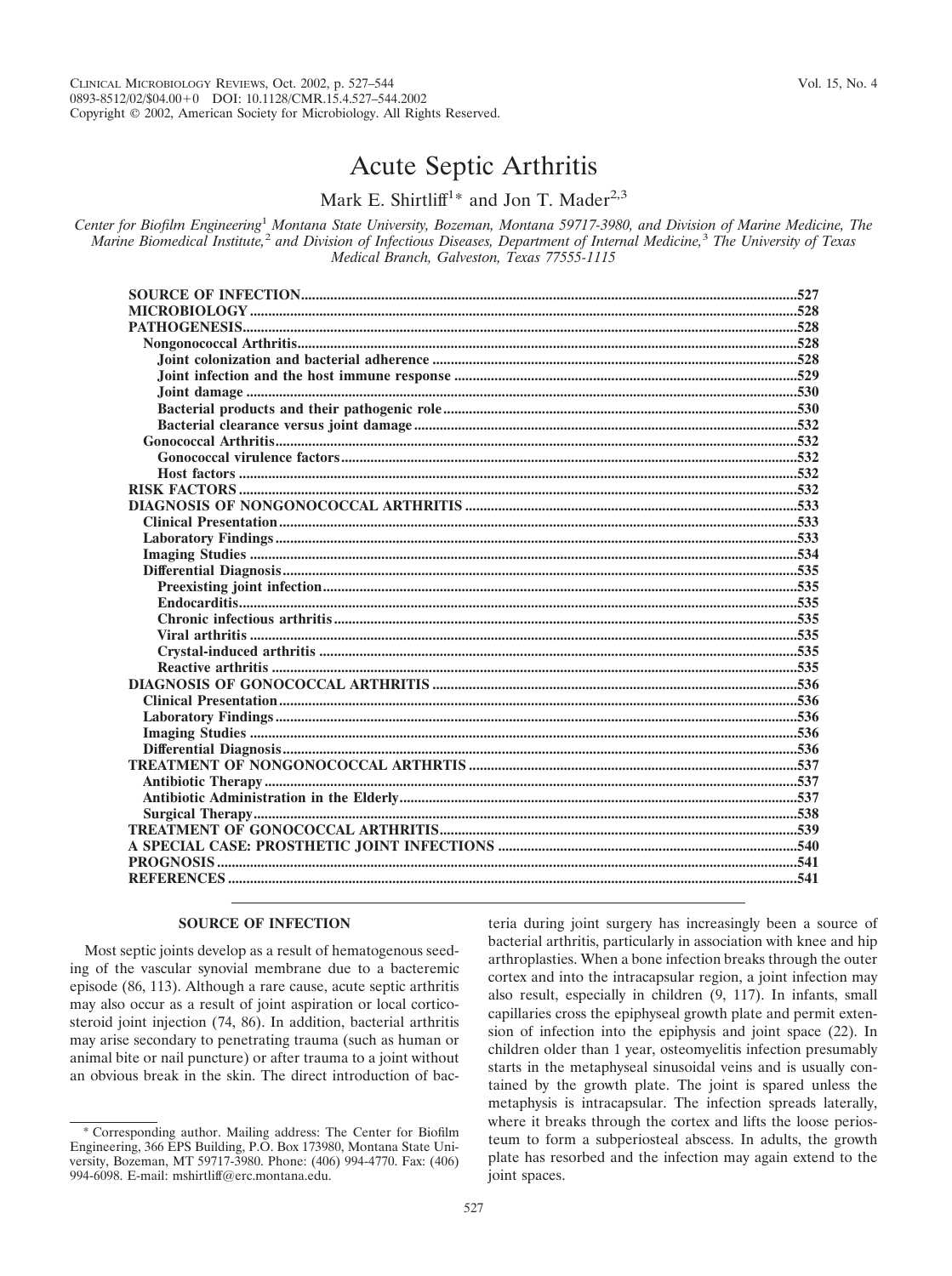# Acute Septic Arthritis

Mark E. Shirtliff<sup>1\*</sup> and Jon T. Mader<sup>2,3</sup>

*Center for Biofilm Engineering*<sup>1</sup> *Montana State University, Bozeman, Montana 59717-3980, and Division of Marine Medicine, The Marine Biomedical Institute,*<sup>2</sup> *and Division of Infectious Diseases, Department of Internal Medicine,*<sup>3</sup> *The University of Texas Medical Branch, Galveston, Texas 77555-1115*

# **SOURCE OF INFECTION**

Most septic joints develop as a result of hematogenous seeding of the vascular synovial membrane due to a bacteremic episode (86, 113). Although a rare cause, acute septic arthritis may also occur as a result of joint aspiration or local corticosteroid joint injection (74, 86). In addition, bacterial arthritis may arise secondary to penetrating trauma (such as human or animal bite or nail puncture) or after trauma to a joint without an obvious break in the skin. The direct introduction of bac-

teria during joint surgery has increasingly been a source of bacterial arthritis, particularly in association with knee and hip arthroplasties. When a bone infection breaks through the outer cortex and into the intracapsular region, a joint infection may also result, especially in children (9, 117). In infants, small capillaries cross the epiphyseal growth plate and permit extension of infection into the epiphysis and joint space (22). In children older than 1 year, osteomyelitis infection presumably starts in the metaphyseal sinusoidal veins and is usually contained by the growth plate. The joint is spared unless the metaphysis is intracapsular. The infection spreads laterally, where it breaks through the cortex and lifts the loose periosteum to form a subperiosteal abscess. In adults, the growth plate has resorbed and the infection may again extend to the joint spaces.

<sup>\*</sup> Corresponding author. Mailing address: The Center for Biofilm Engineering, 366 EPS Building, P.O. Box 173980, Montana State University, Bozeman, MT 59717-3980. Phone: (406) 994-4770. Fax: (406) 994-6098. E-mail: mshirtliff@erc.montana.edu.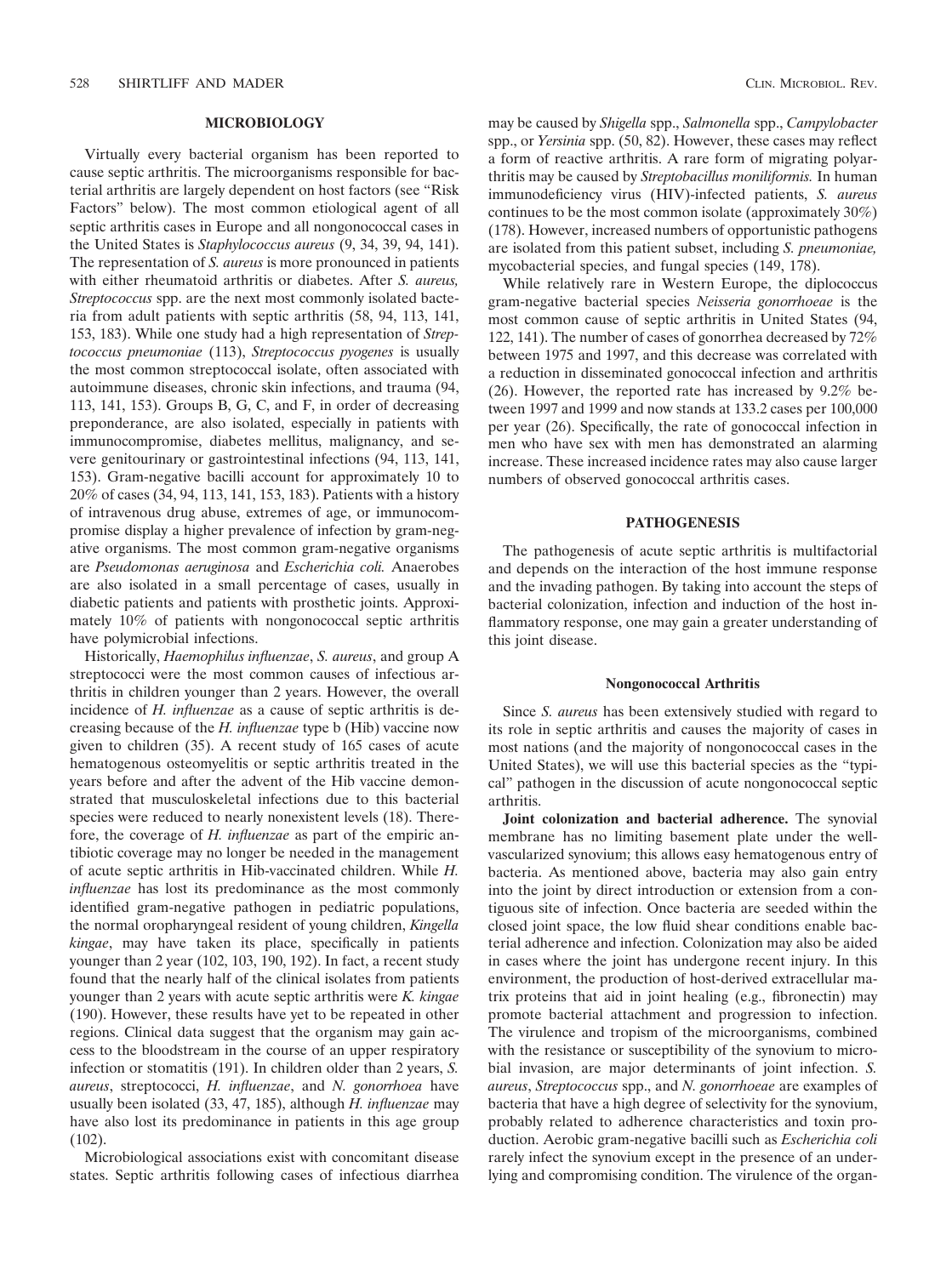# **MICROBIOLOGY**

Virtually every bacterial organism has been reported to cause septic arthritis. The microorganisms responsible for bacterial arthritis are largely dependent on host factors (see "Risk Factors" below). The most common etiological agent of all septic arthritis cases in Europe and all nongonococcal cases in the United States is *Staphylococcus aureus* (9, 34, 39, 94, 141). The representation of *S. aureus* is more pronounced in patients with either rheumatoid arthritis or diabetes. After *S. aureus, Streptococcus* spp. are the next most commonly isolated bacteria from adult patients with septic arthritis (58, 94, 113, 141, 153, 183). While one study had a high representation of *Streptococcus pneumoniae* (113), *Streptococcus pyogenes* is usually the most common streptococcal isolate, often associated with autoimmune diseases, chronic skin infections, and trauma (94, 113, 141, 153). Groups B, G, C, and F, in order of decreasing preponderance, are also isolated, especially in patients with immunocompromise, diabetes mellitus, malignancy, and severe genitourinary or gastrointestinal infections (94, 113, 141, 153). Gram-negative bacilli account for approximately 10 to 20% of cases (34, 94, 113, 141, 153, 183). Patients with a history of intravenous drug abuse, extremes of age, or immunocompromise display a higher prevalence of infection by gram-negative organisms. The most common gram-negative organisms are *Pseudomonas aeruginosa* and *Escherichia coli.* Anaerobes are also isolated in a small percentage of cases, usually in diabetic patients and patients with prosthetic joints. Approximately 10% of patients with nongonococcal septic arthritis have polymicrobial infections.

Historically, *Haemophilus influenzae*, *S. aureus*, and group A streptococci were the most common causes of infectious arthritis in children younger than 2 years. However, the overall incidence of *H. influenzae* as a cause of septic arthritis is decreasing because of the *H. influenzae* type b (Hib) vaccine now given to children (35). A recent study of 165 cases of acute hematogenous osteomyelitis or septic arthritis treated in the years before and after the advent of the Hib vaccine demonstrated that musculoskeletal infections due to this bacterial species were reduced to nearly nonexistent levels (18). Therefore, the coverage of *H. influenzae* as part of the empiric antibiotic coverage may no longer be needed in the management of acute septic arthritis in Hib-vaccinated children. While *H. influenzae* has lost its predominance as the most commonly identified gram-negative pathogen in pediatric populations, the normal oropharyngeal resident of young children, *Kingella kingae*, may have taken its place, specifically in patients younger than 2 year (102, 103, 190, 192). In fact, a recent study found that the nearly half of the clinical isolates from patients younger than 2 years with acute septic arthritis were *K. kingae* (190). However, these results have yet to be repeated in other regions. Clinical data suggest that the organism may gain access to the bloodstream in the course of an upper respiratory infection or stomatitis (191). In children older than 2 years, *S. aureus*, streptococci, *H. influenzae*, and *N. gonorrhoea* have usually been isolated (33, 47, 185), although *H. influenzae* may have also lost its predominance in patients in this age group  $(102)$ .

Microbiological associations exist with concomitant disease states. Septic arthritis following cases of infectious diarrhea may be caused by *Shigella* spp., *Salmonella* spp., *Campylobacter* spp., or *Yersinia* spp. (50, 82). However, these cases may reflect a form of reactive arthritis. A rare form of migrating polyarthritis may be caused by *Streptobacillus moniliformis.* In human immunodeficiency virus (HIV)-infected patients, *S. aureus* continues to be the most common isolate (approximately 30%) (178). However, increased numbers of opportunistic pathogens are isolated from this patient subset, including *S. pneumoniae,* mycobacterial species, and fungal species (149, 178).

While relatively rare in Western Europe, the diplococcus gram-negative bacterial species *Neisseria gonorrhoeae* is the most common cause of septic arthritis in United States (94, 122, 141). The number of cases of gonorrhea decreased by 72% between 1975 and 1997, and this decrease was correlated with a reduction in disseminated gonococcal infection and arthritis (26). However, the reported rate has increased by 9.2% between 1997 and 1999 and now stands at 133.2 cases per 100,000 per year (26). Specifically, the rate of gonococcal infection in men who have sex with men has demonstrated an alarming increase. These increased incidence rates may also cause larger numbers of observed gonococcal arthritis cases.

#### **PATHOGENESIS**

The pathogenesis of acute septic arthritis is multifactorial and depends on the interaction of the host immune response and the invading pathogen. By taking into account the steps of bacterial colonization, infection and induction of the host inflammatory response, one may gain a greater understanding of this joint disease.

#### **Nongonococcal Arthritis**

Since *S. aureus* has been extensively studied with regard to its role in septic arthritis and causes the majority of cases in most nations (and the majority of nongonococcal cases in the United States), we will use this bacterial species as the "typical" pathogen in the discussion of acute nongonococcal septic arthritis.

**Joint colonization and bacterial adherence.** The synovial membrane has no limiting basement plate under the wellvascularized synovium; this allows easy hematogenous entry of bacteria. As mentioned above, bacteria may also gain entry into the joint by direct introduction or extension from a contiguous site of infection. Once bacteria are seeded within the closed joint space, the low fluid shear conditions enable bacterial adherence and infection. Colonization may also be aided in cases where the joint has undergone recent injury. In this environment, the production of host-derived extracellular matrix proteins that aid in joint healing (e.g., fibronectin) may promote bacterial attachment and progression to infection. The virulence and tropism of the microorganisms, combined with the resistance or susceptibility of the synovium to microbial invasion, are major determinants of joint infection. *S. aureus*, *Streptococcus* spp., and *N. gonorrhoeae* are examples of bacteria that have a high degree of selectivity for the synovium, probably related to adherence characteristics and toxin production. Aerobic gram-negative bacilli such as *Escherichia coli* rarely infect the synovium except in the presence of an underlying and compromising condition. The virulence of the organ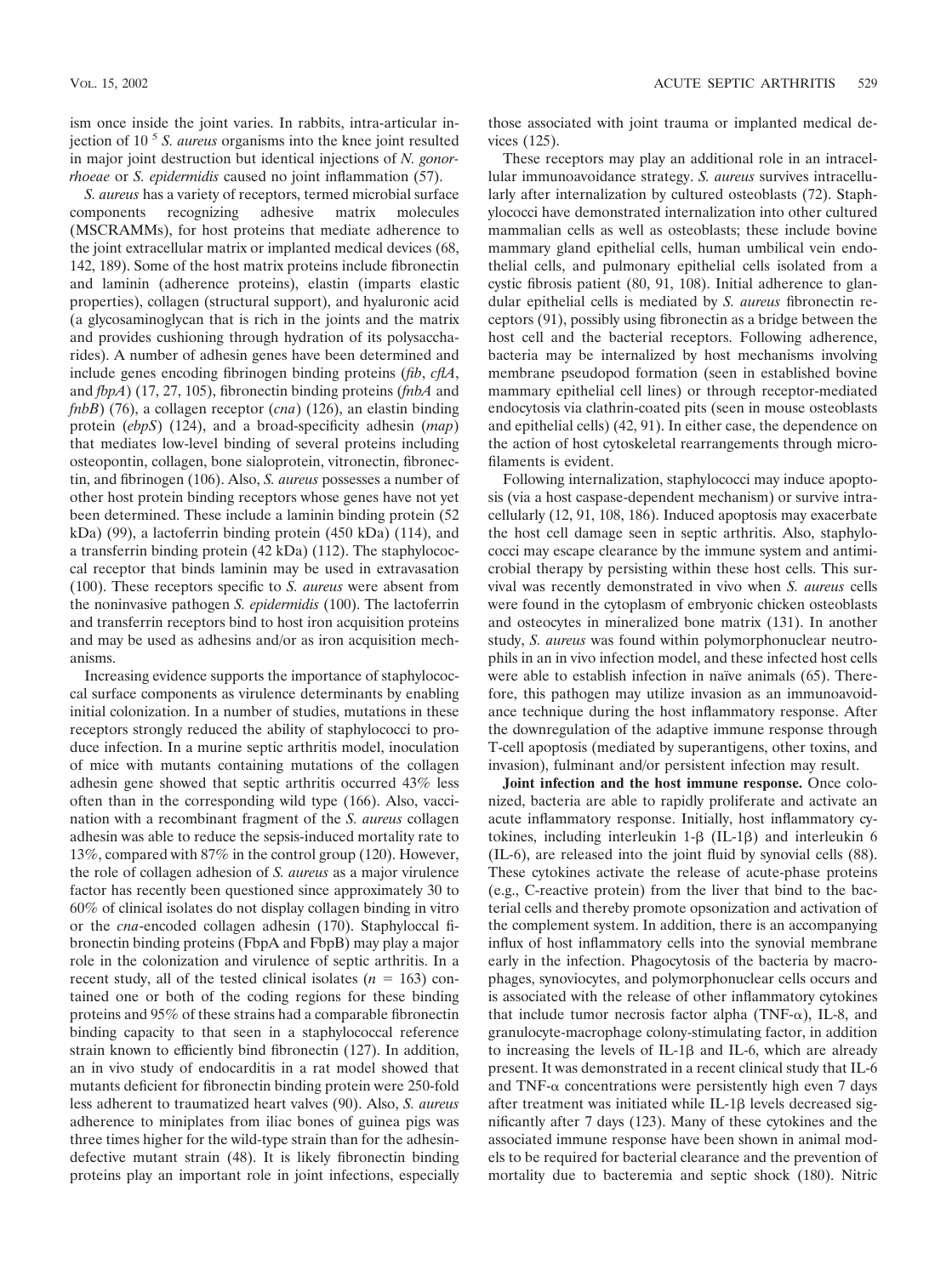ism once inside the joint varies. In rabbits, intra-articular injection of 10 <sup>5</sup> *S. aureus* organisms into the knee joint resulted in major joint destruction but identical injections of *N. gonorrhoeae* or *S. epidermidis* caused no joint inflammation (57).

*S. aureus* has a variety of receptors, termed microbial surface components recognizing adhesive matrix molecules (MSCRAMMs), for host proteins that mediate adherence to the joint extracellular matrix or implanted medical devices (68, 142, 189). Some of the host matrix proteins include fibronectin and laminin (adherence proteins), elastin (imparts elastic properties), collagen (structural support), and hyaluronic acid (a glycosaminoglycan that is rich in the joints and the matrix and provides cushioning through hydration of its polysaccharides). A number of adhesin genes have been determined and include genes encoding fibrinogen binding proteins (*fib*, *cflA*, and *fbpA*) (17, 27, 105), fibronectin binding proteins (*fnbA* and *fnbB*) (76), a collagen receptor (*cna*) (126), an elastin binding protein (*ebpS*) (124), and a broad-specificity adhesin (*map*) that mediates low-level binding of several proteins including osteopontin, collagen, bone sialoprotein, vitronectin, fibronectin, and fibrinogen (106). Also, *S. aureus* possesses a number of other host protein binding receptors whose genes have not yet been determined. These include a laminin binding protein (52 kDa) (99), a lactoferrin binding protein (450 kDa) (114), and a transferrin binding protein (42 kDa) (112). The staphylococcal receptor that binds laminin may be used in extravasation (100). These receptors specific to *S. aureus* were absent from the noninvasive pathogen *S. epidermidis* (100). The lactoferrin and transferrin receptors bind to host iron acquisition proteins and may be used as adhesins and/or as iron acquisition mechanisms.

Increasing evidence supports the importance of staphylococcal surface components as virulence determinants by enabling initial colonization. In a number of studies, mutations in these receptors strongly reduced the ability of staphylococci to produce infection. In a murine septic arthritis model, inoculation of mice with mutants containing mutations of the collagen adhesin gene showed that septic arthritis occurred 43% less often than in the corresponding wild type (166). Also, vaccination with a recombinant fragment of the *S. aureus* collagen adhesin was able to reduce the sepsis-induced mortality rate to 13%, compared with 87% in the control group (120). However, the role of collagen adhesion of *S. aureus* as a major virulence factor has recently been questioned since approximately 30 to 60% of clinical isolates do not display collagen binding in vitro or the *cna*-encoded collagen adhesin (170). Staphyloccal fibronectin binding proteins (FbpA and FbpB) may play a major role in the colonization and virulence of septic arthritis. In a recent study, all of the tested clinical isolates  $(n = 163)$  contained one or both of the coding regions for these binding proteins and 95% of these strains had a comparable fibronectin binding capacity to that seen in a staphylococcal reference strain known to efficiently bind fibronectin (127). In addition, an in vivo study of endocarditis in a rat model showed that mutants deficient for fibronectin binding protein were 250-fold less adherent to traumatized heart valves (90). Also, *S. aureus* adherence to miniplates from iliac bones of guinea pigs was three times higher for the wild-type strain than for the adhesindefective mutant strain (48). It is likely fibronectin binding proteins play an important role in joint infections, especially those associated with joint trauma or implanted medical devices (125).

These receptors may play an additional role in an intracellular immunoavoidance strategy. *S. aureus* survives intracellularly after internalization by cultured osteoblasts (72). Staphylococci have demonstrated internalization into other cultured mammalian cells as well as osteoblasts; these include bovine mammary gland epithelial cells, human umbilical vein endothelial cells, and pulmonary epithelial cells isolated from a cystic fibrosis patient (80, 91, 108). Initial adherence to glandular epithelial cells is mediated by *S. aureus* fibronectin receptors (91), possibly using fibronectin as a bridge between the host cell and the bacterial receptors. Following adherence, bacteria may be internalized by host mechanisms involving membrane pseudopod formation (seen in established bovine mammary epithelial cell lines) or through receptor-mediated endocytosis via clathrin-coated pits (seen in mouse osteoblasts and epithelial cells) (42, 91). In either case, the dependence on the action of host cytoskeletal rearrangements through microfilaments is evident.

Following internalization, staphylococci may induce apoptosis (via a host caspase-dependent mechanism) or survive intracellularly (12, 91, 108, 186). Induced apoptosis may exacerbate the host cell damage seen in septic arthritis. Also, staphylococci may escape clearance by the immune system and antimicrobial therapy by persisting within these host cells. This survival was recently demonstrated in vivo when *S. aureus* cells were found in the cytoplasm of embryonic chicken osteoblasts and osteocytes in mineralized bone matrix (131). In another study, *S. aureus* was found within polymorphonuclear neutrophils in an in vivo infection model, and these infected host cells were able to establish infection in naïve animals (65). Therefore, this pathogen may utilize invasion as an immunoavoidance technique during the host inflammatory response. After the downregulation of the adaptive immune response through T-cell apoptosis (mediated by superantigens, other toxins, and invasion), fulminant and/or persistent infection may result.

**Joint infection and the host immune response.** Once colonized, bacteria are able to rapidly proliferate and activate an acute inflammatory response. Initially, host inflammatory cytokines, including interleukin  $1-\beta$  (IL-1 $\beta$ ) and interleukin 6 (IL-6), are released into the joint fluid by synovial cells (88). These cytokines activate the release of acute-phase proteins (e.g., C-reactive protein) from the liver that bind to the bacterial cells and thereby promote opsonization and activation of the complement system. In addition, there is an accompanying influx of host inflammatory cells into the synovial membrane early in the infection. Phagocytosis of the bacteria by macrophages, synoviocytes, and polymorphonuclear cells occurs and is associated with the release of other inflammatory cytokines that include tumor necrosis factor alpha (TNF- $\alpha$ ), IL-8, and granulocyte-macrophage colony-stimulating factor, in addition to increasing the levels of IL-1 $\beta$  and IL-6, which are already present. It was demonstrated in a recent clinical study that IL-6 and TNF- $\alpha$  concentrations were persistently high even 7 days after treatment was initiated while IL-1 $\beta$  levels decreased significantly after 7 days (123). Many of these cytokines and the associated immune response have been shown in animal models to be required for bacterial clearance and the prevention of mortality due to bacteremia and septic shock (180). Nitric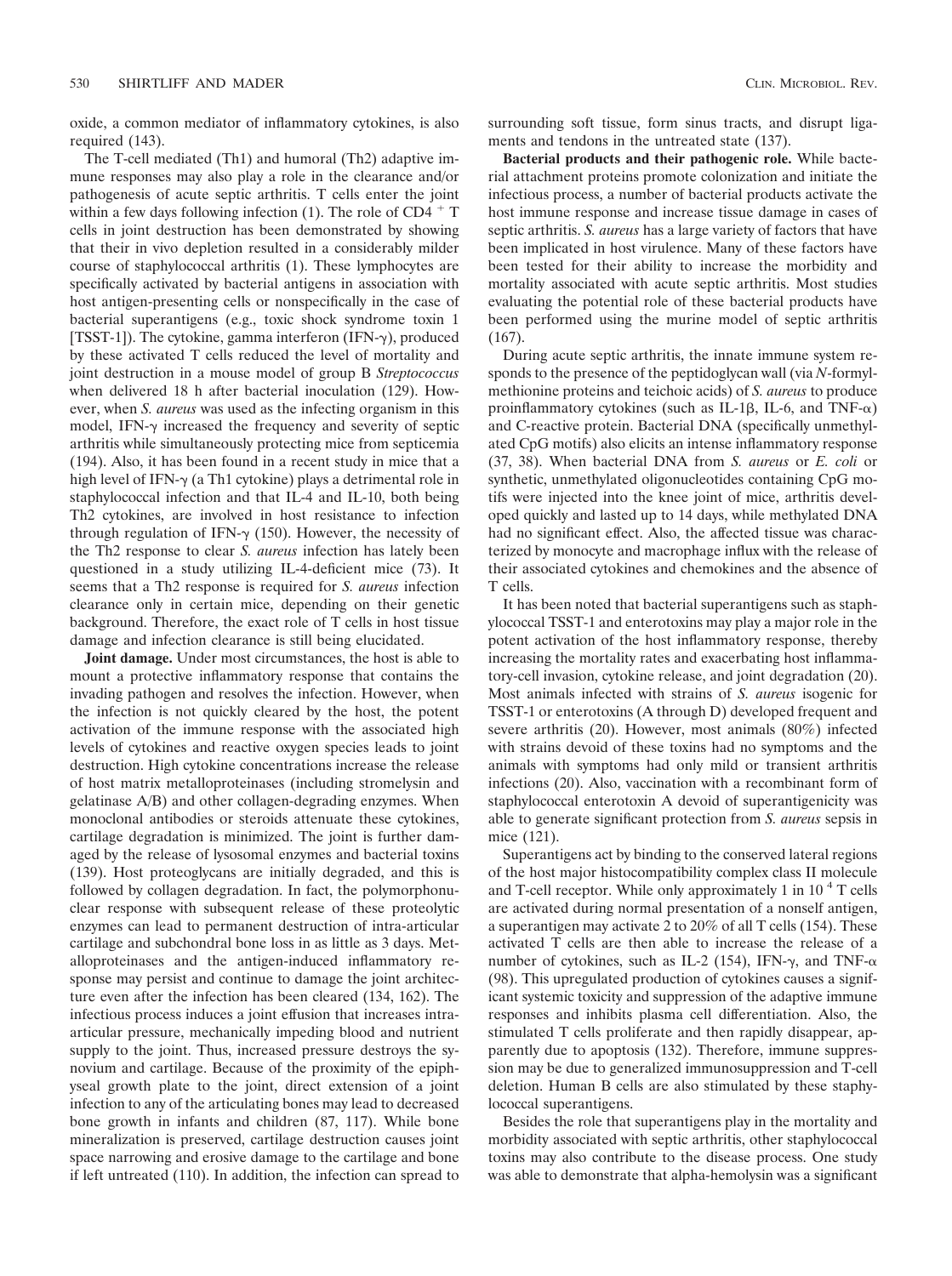oxide, a common mediator of inflammatory cytokines, is also required (143).

The T-cell mediated (Th1) and humoral (Th2) adaptive immune responses may also play a role in the clearance and/or pathogenesis of acute septic arthritis. T cells enter the joint within a few days following infection (1). The role of  $CD4 + T$ cells in joint destruction has been demonstrated by showing that their in vivo depletion resulted in a considerably milder course of staphylococcal arthritis (1). These lymphocytes are specifically activated by bacterial antigens in association with host antigen-presenting cells or nonspecifically in the case of bacterial superantigens (e.g., toxic shock syndrome toxin 1 [TSST-1]). The cytokine, gamma interferon (IFN- $\gamma$ ), produced by these activated T cells reduced the level of mortality and joint destruction in a mouse model of group B *Streptococcus* when delivered 18 h after bacterial inoculation (129). However, when *S. aureus* was used as the infecting organism in this model, IFN- $\gamma$  increased the frequency and severity of septic arthritis while simultaneously protecting mice from septicemia (194). Also, it has been found in a recent study in mice that a high level of IFN- $\gamma$  (a Th1 cytokine) plays a detrimental role in staphylococcal infection and that IL-4 and IL-10, both being Th2 cytokines, are involved in host resistance to infection through regulation of IFN- $\gamma$  (150). However, the necessity of the Th2 response to clear *S. aureus* infection has lately been questioned in a study utilizing IL-4-deficient mice (73). It seems that a Th2 response is required for *S. aureus* infection clearance only in certain mice, depending on their genetic background. Therefore, the exact role of T cells in host tissue damage and infection clearance is still being elucidated.

**Joint damage.** Under most circumstances, the host is able to mount a protective inflammatory response that contains the invading pathogen and resolves the infection. However, when the infection is not quickly cleared by the host, the potent activation of the immune response with the associated high levels of cytokines and reactive oxygen species leads to joint destruction. High cytokine concentrations increase the release of host matrix metalloproteinases (including stromelysin and gelatinase A/B) and other collagen-degrading enzymes. When monoclonal antibodies or steroids attenuate these cytokines, cartilage degradation is minimized. The joint is further damaged by the release of lysosomal enzymes and bacterial toxins (139). Host proteoglycans are initially degraded, and this is followed by collagen degradation. In fact, the polymorphonuclear response with subsequent release of these proteolytic enzymes can lead to permanent destruction of intra-articular cartilage and subchondral bone loss in as little as 3 days. Metalloproteinases and the antigen-induced inflammatory response may persist and continue to damage the joint architecture even after the infection has been cleared (134, 162). The infectious process induces a joint effusion that increases intraarticular pressure, mechanically impeding blood and nutrient supply to the joint. Thus, increased pressure destroys the synovium and cartilage. Because of the proximity of the epiphyseal growth plate to the joint, direct extension of a joint infection to any of the articulating bones may lead to decreased bone growth in infants and children (87, 117). While bone mineralization is preserved, cartilage destruction causes joint space narrowing and erosive damage to the cartilage and bone if left untreated (110). In addition, the infection can spread to surrounding soft tissue, form sinus tracts, and disrupt ligaments and tendons in the untreated state (137).

**Bacterial products and their pathogenic role.** While bacterial attachment proteins promote colonization and initiate the infectious process, a number of bacterial products activate the host immune response and increase tissue damage in cases of septic arthritis. *S. aureus* has a large variety of factors that have been implicated in host virulence. Many of these factors have been tested for their ability to increase the morbidity and mortality associated with acute septic arthritis. Most studies evaluating the potential role of these bacterial products have been performed using the murine model of septic arthritis (167).

During acute septic arthritis, the innate immune system responds to the presence of the peptidoglycan wall (via *N*-formylmethionine proteins and teichoic acids) of *S. aureus* to produce proinflammatory cytokines (such as IL-1 $\beta$ , IL-6, and TNF- $\alpha$ ) and C-reactive protein. Bacterial DNA (specifically unmethylated CpG motifs) also elicits an intense inflammatory response (37, 38). When bacterial DNA from *S. aureus* or *E. coli* or synthetic, unmethylated oligonucleotides containing CpG motifs were injected into the knee joint of mice, arthritis developed quickly and lasted up to 14 days, while methylated DNA had no significant effect. Also, the affected tissue was characterized by monocyte and macrophage influx with the release of their associated cytokines and chemokines and the absence of T cells.

It has been noted that bacterial superantigens such as staphylococcal TSST-1 and enterotoxins may play a major role in the potent activation of the host inflammatory response, thereby increasing the mortality rates and exacerbating host inflammatory-cell invasion, cytokine release, and joint degradation (20). Most animals infected with strains of *S. aureus* isogenic for TSST-1 or enterotoxins (A through D) developed frequent and severe arthritis (20). However, most animals (80%) infected with strains devoid of these toxins had no symptoms and the animals with symptoms had only mild or transient arthritis infections (20). Also, vaccination with a recombinant form of staphylococcal enterotoxin A devoid of superantigenicity was able to generate significant protection from *S. aureus* sepsis in mice (121).

Superantigens act by binding to the conserved lateral regions of the host major histocompatibility complex class II molecule and T-cell receptor. While only approximately 1 in  $10<sup>4</sup>$  T cells are activated during normal presentation of a nonself antigen, a superantigen may activate 2 to 20% of all T cells (154). These activated T cells are then able to increase the release of a number of cytokines, such as IL-2 (154), IFN- $\gamma$ , and TNF- $\alpha$ (98). This upregulated production of cytokines causes a significant systemic toxicity and suppression of the adaptive immune responses and inhibits plasma cell differentiation. Also, the stimulated T cells proliferate and then rapidly disappear, apparently due to apoptosis (132). Therefore, immune suppression may be due to generalized immunosuppression and T-cell deletion. Human B cells are also stimulated by these staphylococcal superantigens.

Besides the role that superantigens play in the mortality and morbidity associated with septic arthritis, other staphylococcal toxins may also contribute to the disease process. One study was able to demonstrate that alpha-hemolysin was a significant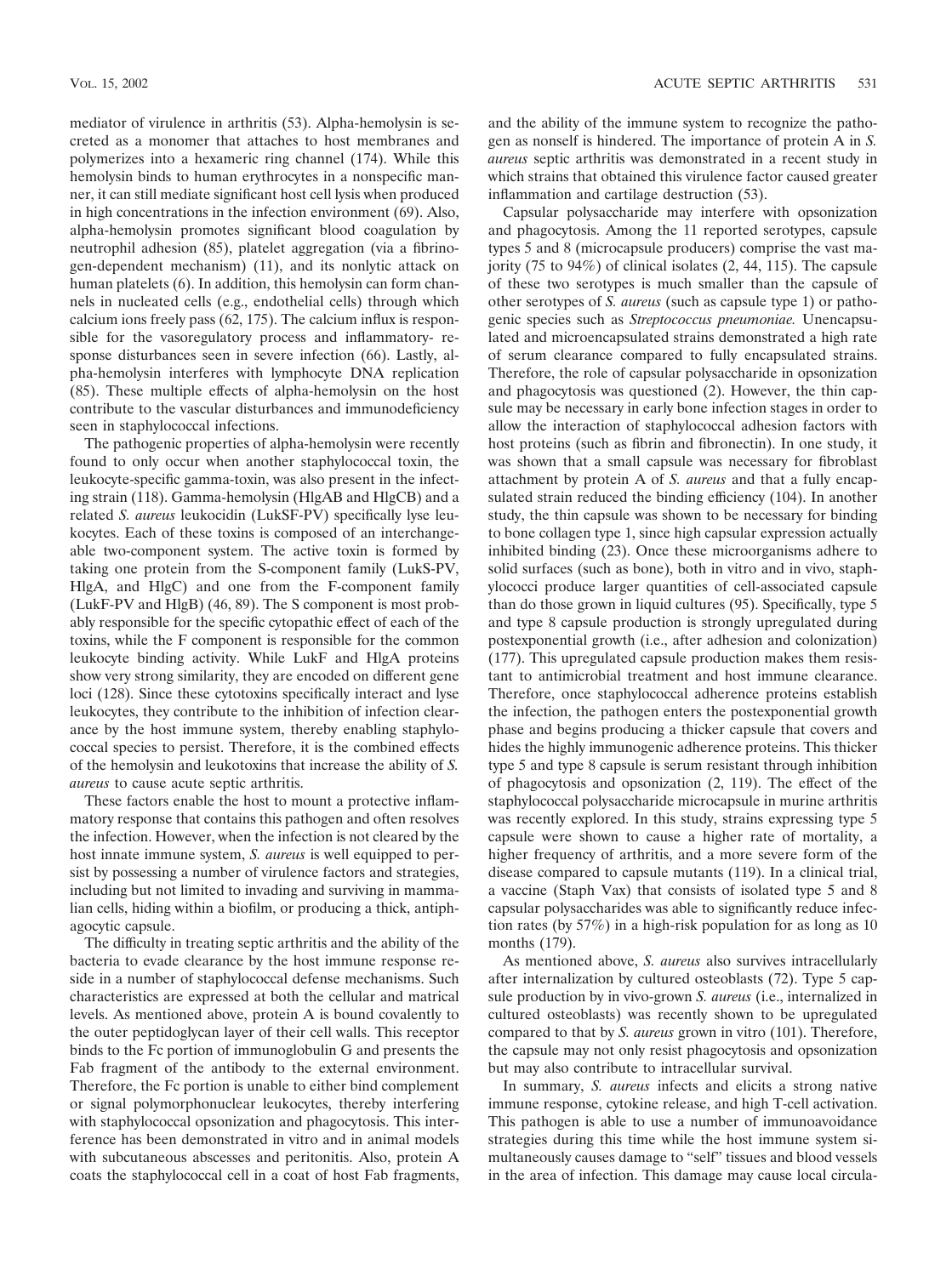mediator of virulence in arthritis (53). Alpha-hemolysin is secreted as a monomer that attaches to host membranes and polymerizes into a hexameric ring channel (174). While this hemolysin binds to human erythrocytes in a nonspecific manner, it can still mediate significant host cell lysis when produced in high concentrations in the infection environment (69). Also, alpha-hemolysin promotes significant blood coagulation by neutrophil adhesion (85), platelet aggregation (via a fibrinogen-dependent mechanism) (11), and its nonlytic attack on human platelets (6). In addition, this hemolysin can form channels in nucleated cells (e.g., endothelial cells) through which calcium ions freely pass (62, 175). The calcium influx is responsible for the vasoregulatory process and inflammatory- response disturbances seen in severe infection (66). Lastly, alpha-hemolysin interferes with lymphocyte DNA replication (85). These multiple effects of alpha-hemolysin on the host contribute to the vascular disturbances and immunodeficiency seen in staphylococcal infections.

The pathogenic properties of alpha-hemolysin were recently found to only occur when another staphylococcal toxin, the leukocyte-specific gamma-toxin, was also present in the infecting strain (118). Gamma-hemolysin (HlgAB and HlgCB) and a related *S. aureus* leukocidin (LukSF-PV) specifically lyse leukocytes. Each of these toxins is composed of an interchangeable two-component system. The active toxin is formed by taking one protein from the S-component family (LukS-PV, HlgA, and HlgC) and one from the F-component family (LukF-PV and HlgB) (46, 89). The S component is most probably responsible for the specific cytopathic effect of each of the toxins, while the F component is responsible for the common leukocyte binding activity. While LukF and HlgA proteins show very strong similarity, they are encoded on different gene loci (128). Since these cytotoxins specifically interact and lyse leukocytes, they contribute to the inhibition of infection clearance by the host immune system, thereby enabling staphylococcal species to persist. Therefore, it is the combined effects of the hemolysin and leukotoxins that increase the ability of *S. aureus* to cause acute septic arthritis.

These factors enable the host to mount a protective inflammatory response that contains this pathogen and often resolves the infection. However, when the infection is not cleared by the host innate immune system, *S. aureus* is well equipped to persist by possessing a number of virulence factors and strategies, including but not limited to invading and surviving in mammalian cells, hiding within a biofilm, or producing a thick, antiphagocytic capsule.

The difficulty in treating septic arthritis and the ability of the bacteria to evade clearance by the host immune response reside in a number of staphylococcal defense mechanisms. Such characteristics are expressed at both the cellular and matrical levels. As mentioned above, protein A is bound covalently to the outer peptidoglycan layer of their cell walls. This receptor binds to the Fc portion of immunoglobulin G and presents the Fab fragment of the antibody to the external environment. Therefore, the Fc portion is unable to either bind complement or signal polymorphonuclear leukocytes, thereby interfering with staphylococcal opsonization and phagocytosis. This interference has been demonstrated in vitro and in animal models with subcutaneous abscesses and peritonitis. Also, protein A coats the staphylococcal cell in a coat of host Fab fragments,

and the ability of the immune system to recognize the pathogen as nonself is hindered. The importance of protein A in *S. aureus* septic arthritis was demonstrated in a recent study in which strains that obtained this virulence factor caused greater inflammation and cartilage destruction (53).

Capsular polysaccharide may interfere with opsonization and phagocytosis. Among the 11 reported serotypes, capsule types 5 and 8 (microcapsule producers) comprise the vast majority (75 to 94%) of clinical isolates (2, 44, 115). The capsule of these two serotypes is much smaller than the capsule of other serotypes of *S. aureus* (such as capsule type 1) or pathogenic species such as *Streptococcus pneumoniae.* Unencapsulated and microencapsulated strains demonstrated a high rate of serum clearance compared to fully encapsulated strains. Therefore, the role of capsular polysaccharide in opsonization and phagocytosis was questioned (2). However, the thin capsule may be necessary in early bone infection stages in order to allow the interaction of staphylococcal adhesion factors with host proteins (such as fibrin and fibronectin). In one study, it was shown that a small capsule was necessary for fibroblast attachment by protein A of *S. aureus* and that a fully encapsulated strain reduced the binding efficiency (104). In another study, the thin capsule was shown to be necessary for binding to bone collagen type 1, since high capsular expression actually inhibited binding (23). Once these microorganisms adhere to solid surfaces (such as bone), both in vitro and in vivo, staphylococci produce larger quantities of cell-associated capsule than do those grown in liquid cultures (95). Specifically, type 5 and type 8 capsule production is strongly upregulated during postexponential growth (i.e., after adhesion and colonization) (177). This upregulated capsule production makes them resistant to antimicrobial treatment and host immune clearance. Therefore, once staphylococcal adherence proteins establish the infection, the pathogen enters the postexponential growth phase and begins producing a thicker capsule that covers and hides the highly immunogenic adherence proteins. This thicker type 5 and type 8 capsule is serum resistant through inhibition of phagocytosis and opsonization (2, 119). The effect of the staphylococcal polysaccharide microcapsule in murine arthritis was recently explored. In this study, strains expressing type 5 capsule were shown to cause a higher rate of mortality, a higher frequency of arthritis, and a more severe form of the disease compared to capsule mutants (119). In a clinical trial, a vaccine (Staph Vax) that consists of isolated type 5 and 8 capsular polysaccharides was able to significantly reduce infection rates (by 57%) in a high-risk population for as long as 10 months (179).

As mentioned above, *S. aureus* also survives intracellularly after internalization by cultured osteoblasts (72). Type 5 capsule production by in vivo-grown *S. aureus* (i.e., internalized in cultured osteoblasts) was recently shown to be upregulated compared to that by *S. aureus* grown in vitro (101). Therefore, the capsule may not only resist phagocytosis and opsonization but may also contribute to intracellular survival.

In summary, *S. aureus* infects and elicits a strong native immune response, cytokine release, and high T-cell activation. This pathogen is able to use a number of immunoavoidance strategies during this time while the host immune system simultaneously causes damage to "self" tissues and blood vessels in the area of infection. This damage may cause local circula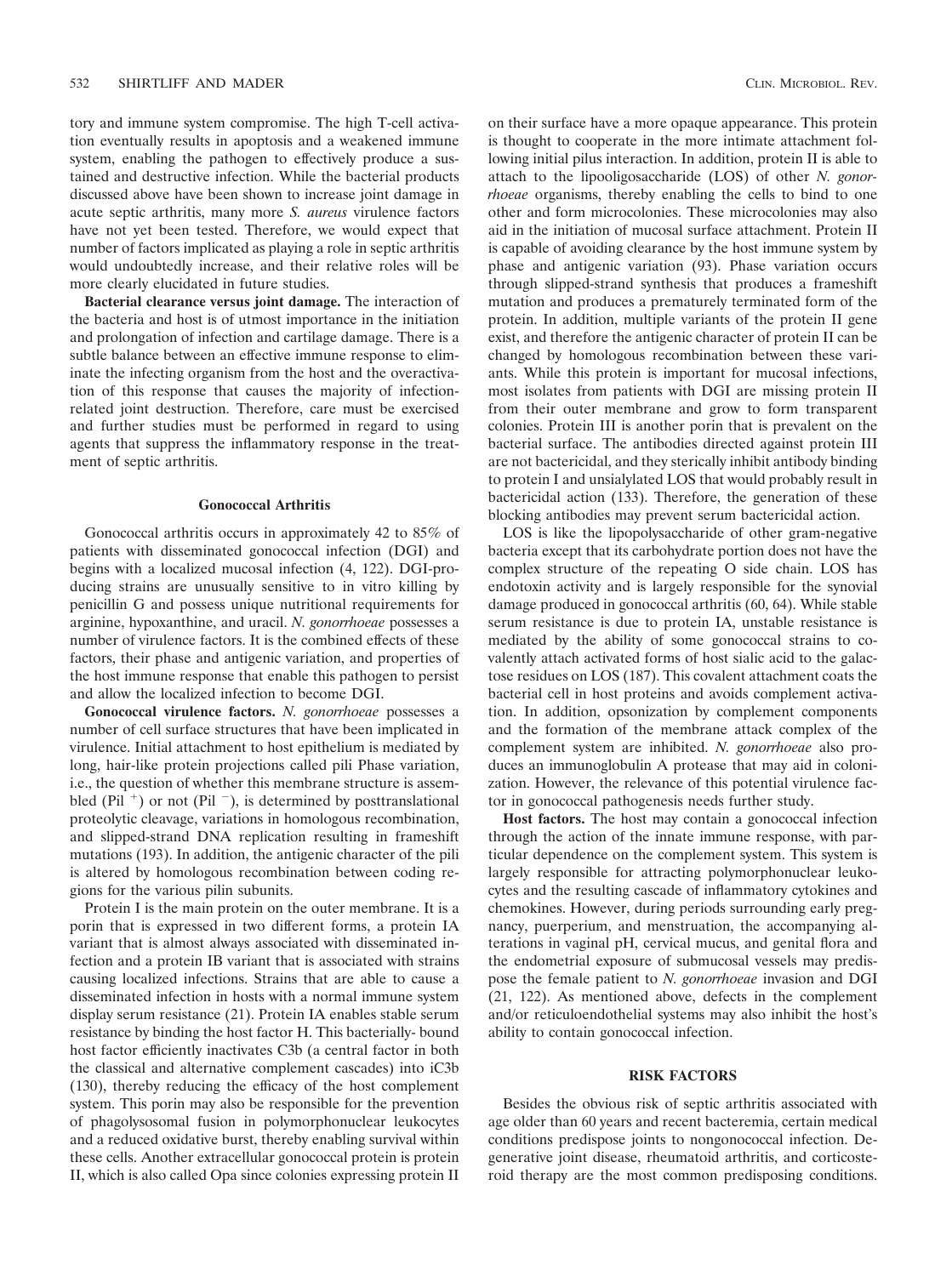tory and immune system compromise. The high T-cell activation eventually results in apoptosis and a weakened immune system, enabling the pathogen to effectively produce a sustained and destructive infection. While the bacterial products discussed above have been shown to increase joint damage in acute septic arthritis, many more *S. aureus* virulence factors have not yet been tested. Therefore, we would expect that number of factors implicated as playing a role in septic arthritis would undoubtedly increase, and their relative roles will be more clearly elucidated in future studies.

**Bacterial clearance versus joint damage.** The interaction of the bacteria and host is of utmost importance in the initiation and prolongation of infection and cartilage damage. There is a subtle balance between an effective immune response to eliminate the infecting organism from the host and the overactivation of this response that causes the majority of infectionrelated joint destruction. Therefore, care must be exercised and further studies must be performed in regard to using agents that suppress the inflammatory response in the treatment of septic arthritis.

#### **Gonococcal Arthritis**

Gonococcal arthritis occurs in approximately 42 to 85% of patients with disseminated gonococcal infection (DGI) and begins with a localized mucosal infection (4, 122). DGI-producing strains are unusually sensitive to in vitro killing by penicillin G and possess unique nutritional requirements for arginine, hypoxanthine, and uracil. *N. gonorrhoeae* possesses a number of virulence factors. It is the combined effects of these factors, their phase and antigenic variation, and properties of the host immune response that enable this pathogen to persist and allow the localized infection to become DGI.

**Gonococcal virulence factors.** *N. gonorrhoeae* possesses a number of cell surface structures that have been implicated in virulence. Initial attachment to host epithelium is mediated by long, hair-like protein projections called pili Phase variation, i.e., the question of whether this membrane structure is assembled (Pil<sup>+</sup>) or not (Pil<sup>-</sup>), is determined by posttranslational proteolytic cleavage, variations in homologous recombination, and slipped-strand DNA replication resulting in frameshift mutations (193). In addition, the antigenic character of the pili is altered by homologous recombination between coding regions for the various pilin subunits.

Protein I is the main protein on the outer membrane. It is a porin that is expressed in two different forms, a protein IA variant that is almost always associated with disseminated infection and a protein IB variant that is associated with strains causing localized infections. Strains that are able to cause a disseminated infection in hosts with a normal immune system display serum resistance (21). Protein IA enables stable serum resistance by binding the host factor H. This bacterially- bound host factor efficiently inactivates C3b (a central factor in both the classical and alternative complement cascades) into iC3b (130), thereby reducing the efficacy of the host complement system. This porin may also be responsible for the prevention of phagolysosomal fusion in polymorphonuclear leukocytes and a reduced oxidative burst, thereby enabling survival within these cells. Another extracellular gonococcal protein is protein II, which is also called Opa since colonies expressing protein II

on their surface have a more opaque appearance. This protein is thought to cooperate in the more intimate attachment following initial pilus interaction. In addition, protein II is able to attach to the lipooligosaccharide (LOS) of other *N. gonorrhoeae* organisms, thereby enabling the cells to bind to one other and form microcolonies. These microcolonies may also aid in the initiation of mucosal surface attachment. Protein II is capable of avoiding clearance by the host immune system by phase and antigenic variation (93). Phase variation occurs through slipped-strand synthesis that produces a frameshift mutation and produces a prematurely terminated form of the protein. In addition, multiple variants of the protein II gene exist, and therefore the antigenic character of protein II can be changed by homologous recombination between these variants. While this protein is important for mucosal infections, most isolates from patients with DGI are missing protein II from their outer membrane and grow to form transparent colonies. Protein III is another porin that is prevalent on the bacterial surface. The antibodies directed against protein III are not bactericidal, and they sterically inhibit antibody binding to protein I and unsialylated LOS that would probably result in bactericidal action (133). Therefore, the generation of these blocking antibodies may prevent serum bactericidal action.

LOS is like the lipopolysaccharide of other gram-negative bacteria except that its carbohydrate portion does not have the complex structure of the repeating O side chain. LOS has endotoxin activity and is largely responsible for the synovial damage produced in gonococcal arthritis (60, 64). While stable serum resistance is due to protein IA, unstable resistance is mediated by the ability of some gonococcal strains to covalently attach activated forms of host sialic acid to the galactose residues on LOS (187). This covalent attachment coats the bacterial cell in host proteins and avoids complement activation. In addition, opsonization by complement components and the formation of the membrane attack complex of the complement system are inhibited. *N. gonorrhoeae* also produces an immunoglobulin A protease that may aid in colonization. However, the relevance of this potential virulence factor in gonococcal pathogenesis needs further study.

**Host factors.** The host may contain a gonococcal infection through the action of the innate immune response, with particular dependence on the complement system. This system is largely responsible for attracting polymorphonuclear leukocytes and the resulting cascade of inflammatory cytokines and chemokines. However, during periods surrounding early pregnancy, puerperium, and menstruation, the accompanying alterations in vaginal pH, cervical mucus, and genital flora and the endometrial exposure of submucosal vessels may predispose the female patient to *N. gonorrhoeae* invasion and DGI (21, 122). As mentioned above, defects in the complement and/or reticuloendothelial systems may also inhibit the host's ability to contain gonococcal infection.

## **RISK FACTORS**

Besides the obvious risk of septic arthritis associated with age older than 60 years and recent bacteremia, certain medical conditions predispose joints to nongonococcal infection. Degenerative joint disease, rheumatoid arthritis, and corticosteroid therapy are the most common predisposing conditions.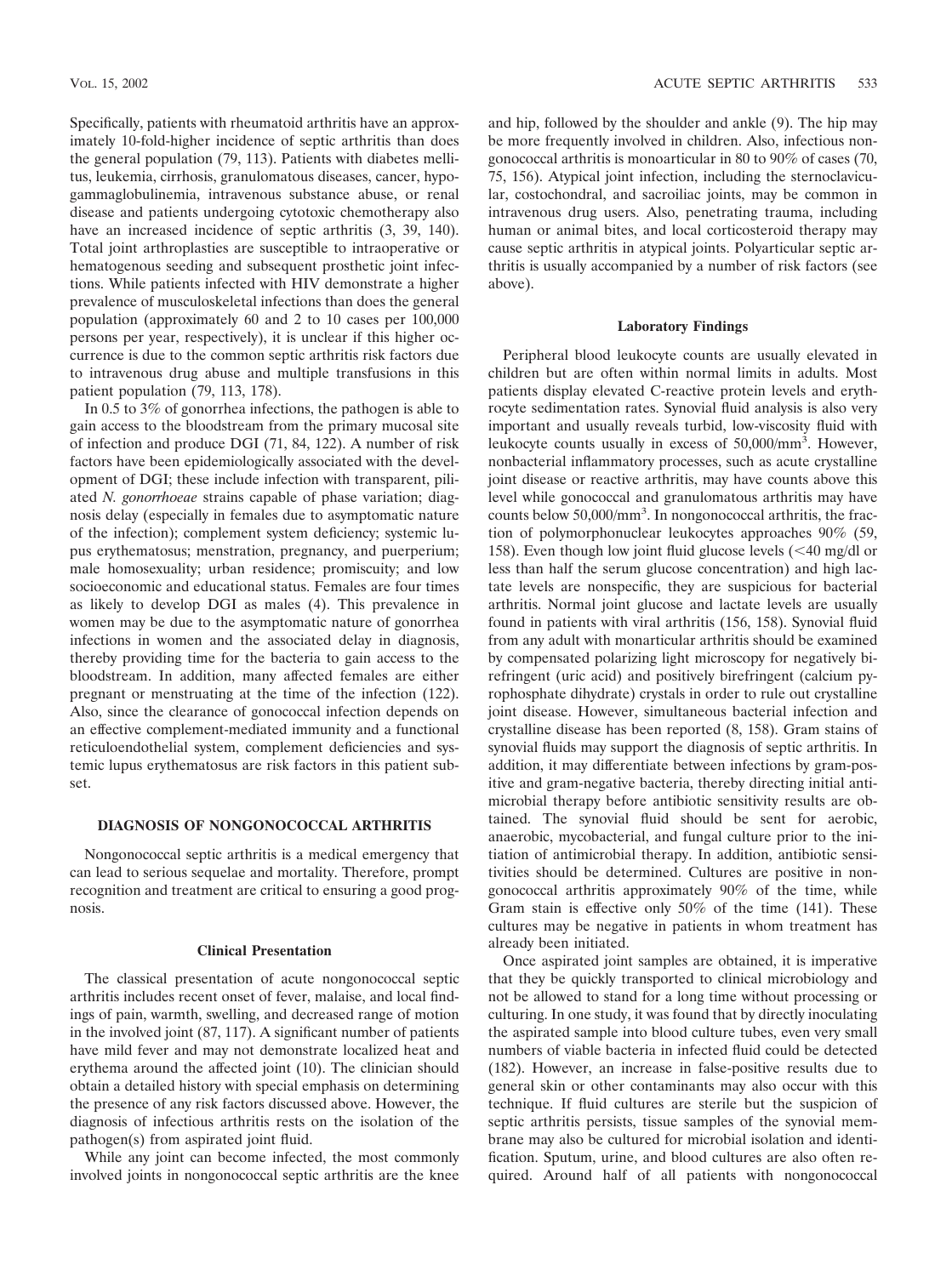Specifically, patients with rheumatoid arthritis have an approximately 10-fold-higher incidence of septic arthritis than does the general population (79, 113). Patients with diabetes mellitus, leukemia, cirrhosis, granulomatous diseases, cancer, hypogammaglobulinemia, intravenous substance abuse, or renal disease and patients undergoing cytotoxic chemotherapy also have an increased incidence of septic arthritis  $(3, 39, 140)$ . Total joint arthroplasties are susceptible to intraoperative or hematogenous seeding and subsequent prosthetic joint infections. While patients infected with HIV demonstrate a higher prevalence of musculoskeletal infections than does the general population (approximately 60 and 2 to 10 cases per 100,000 persons per year, respectively), it is unclear if this higher occurrence is due to the common septic arthritis risk factors due to intravenous drug abuse and multiple transfusions in this patient population (79, 113, 178).

In 0.5 to 3% of gonorrhea infections, the pathogen is able to gain access to the bloodstream from the primary mucosal site of infection and produce DGI (71, 84, 122). A number of risk factors have been epidemiologically associated with the development of DGI; these include infection with transparent, piliated *N. gonorrhoeae* strains capable of phase variation; diagnosis delay (especially in females due to asymptomatic nature of the infection); complement system deficiency; systemic lupus erythematosus; menstration, pregnancy, and puerperium; male homosexuality; urban residence; promiscuity; and low socioeconomic and educational status. Females are four times as likely to develop DGI as males (4). This prevalence in women may be due to the asymptomatic nature of gonorrhea infections in women and the associated delay in diagnosis, thereby providing time for the bacteria to gain access to the bloodstream. In addition, many affected females are either pregnant or menstruating at the time of the infection (122). Also, since the clearance of gonococcal infection depends on an effective complement-mediated immunity and a functional reticuloendothelial system, complement deficiencies and systemic lupus erythematosus are risk factors in this patient subset.

## **DIAGNOSIS OF NONGONOCOCCAL ARTHRITIS**

Nongonococcal septic arthritis is a medical emergency that can lead to serious sequelae and mortality. Therefore, prompt recognition and treatment are critical to ensuring a good prognosis.

## **Clinical Presentation**

The classical presentation of acute nongonococcal septic arthritis includes recent onset of fever, malaise, and local findings of pain, warmth, swelling, and decreased range of motion in the involved joint (87, 117). A significant number of patients have mild fever and may not demonstrate localized heat and erythema around the affected joint (10). The clinician should obtain a detailed history with special emphasis on determining the presence of any risk factors discussed above. However, the diagnosis of infectious arthritis rests on the isolation of the pathogen(s) from aspirated joint fluid.

While any joint can become infected, the most commonly involved joints in nongonococcal septic arthritis are the knee and hip, followed by the shoulder and ankle (9). The hip may be more frequently involved in children. Also, infectious nongonococcal arthritis is monoarticular in 80 to 90% of cases (70, 75, 156). Atypical joint infection, including the sternoclavicular, costochondral, and sacroiliac joints, may be common in intravenous drug users. Also, penetrating trauma, including human or animal bites, and local corticosteroid therapy may cause septic arthritis in atypical joints. Polyarticular septic arthritis is usually accompanied by a number of risk factors (see above).

## **Laboratory Findings**

Peripheral blood leukocyte counts are usually elevated in children but are often within normal limits in adults. Most patients display elevated C-reactive protein levels and erythrocyte sedimentation rates. Synovial fluid analysis is also very important and usually reveals turbid, low-viscosity fluid with leukocyte counts usually in excess of 50,000/mm<sup>3</sup>. However, nonbacterial inflammatory processes, such as acute crystalline joint disease or reactive arthritis, may have counts above this level while gonococcal and granulomatous arthritis may have counts below 50,000/mm<sup>3</sup>. In nongonococcal arthritis, the fraction of polymorphonuclear leukocytes approaches 90% (59, 158). Even though low joint fluid glucose levels  $\left($  <40 mg/dl or less than half the serum glucose concentration) and high lactate levels are nonspecific, they are suspicious for bacterial arthritis. Normal joint glucose and lactate levels are usually found in patients with viral arthritis (156, 158). Synovial fluid from any adult with monarticular arthritis should be examined by compensated polarizing light microscopy for negatively birefringent (uric acid) and positively birefringent (calcium pyrophosphate dihydrate) crystals in order to rule out crystalline joint disease. However, simultaneous bacterial infection and crystalline disease has been reported (8, 158). Gram stains of synovial fluids may support the diagnosis of septic arthritis. In addition, it may differentiate between infections by gram-positive and gram-negative bacteria, thereby directing initial antimicrobial therapy before antibiotic sensitivity results are obtained. The synovial fluid should be sent for aerobic, anaerobic, mycobacterial, and fungal culture prior to the initiation of antimicrobial therapy. In addition, antibiotic sensitivities should be determined. Cultures are positive in nongonococcal arthritis approximately 90% of the time, while Gram stain is effective only 50% of the time (141). These cultures may be negative in patients in whom treatment has already been initiated.

Once aspirated joint samples are obtained, it is imperative that they be quickly transported to clinical microbiology and not be allowed to stand for a long time without processing or culturing. In one study, it was found that by directly inoculating the aspirated sample into blood culture tubes, even very small numbers of viable bacteria in infected fluid could be detected (182). However, an increase in false-positive results due to general skin or other contaminants may also occur with this technique. If fluid cultures are sterile but the suspicion of septic arthritis persists, tissue samples of the synovial membrane may also be cultured for microbial isolation and identification. Sputum, urine, and blood cultures are also often required. Around half of all patients with nongonococcal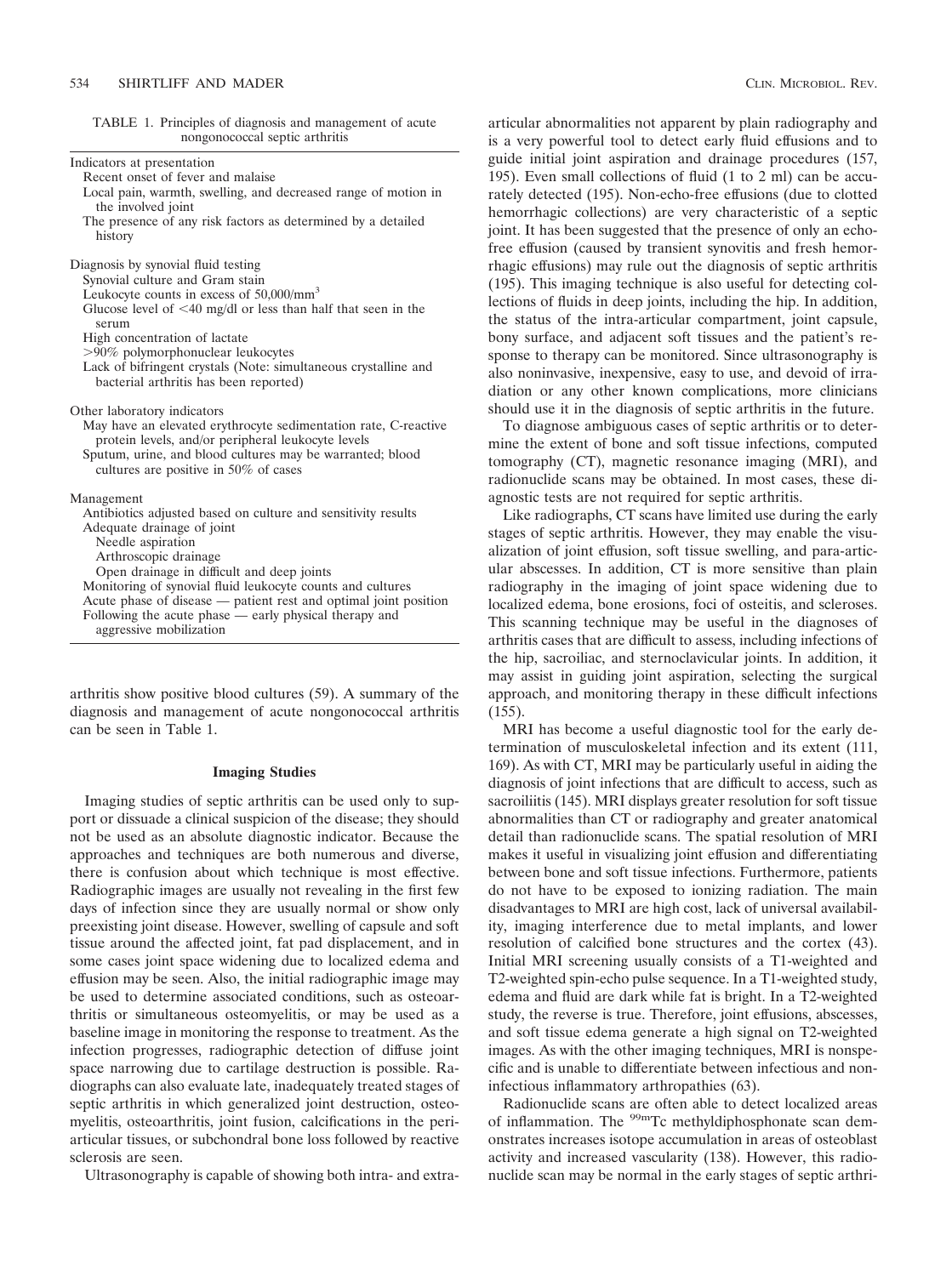Indicators at presentation

TABLE 1. Principles of diagnosis and management of acute nongonococcal septic arthritis

| Recent onset of fever and malaise<br>Local pain, warmth, swelling, and decreased range of motion in<br>the involved joint<br>The presence of any risk factors as determined by a detailed<br>history |
|------------------------------------------------------------------------------------------------------------------------------------------------------------------------------------------------------|
| Diagnosis by synovial fluid testing                                                                                                                                                                  |
| Synovial culture and Gram stain                                                                                                                                                                      |
| Leukocyte counts in excess of $50,000/\text{mm}^3$                                                                                                                                                   |
| Glucose level of $<$ 40 mg/dl or less than half that seen in the<br>serum                                                                                                                            |
| High concentration of lactate                                                                                                                                                                        |
| >90% polymorphonuclear leukocytes                                                                                                                                                                    |
| Lack of bifringent crystals (Note: simultaneous crystalline and<br>bacterial arthritis has been reported)                                                                                            |
| Other laboratory indicators                                                                                                                                                                          |
| May have an elevated erythrocyte sedimentation rate, C-reactive<br>protein levels, and/or peripheral leukocyte levels                                                                                |
| Sputum, urine, and blood cultures may be warranted; blood<br>cultures are positive in 50% of cases                                                                                                   |
| Management                                                                                                                                                                                           |
| Antibiotics adjusted based on culture and sensitivity results                                                                                                                                        |
| Adequate drainage of joint                                                                                                                                                                           |
| Needle aspiration                                                                                                                                                                                    |
| Arthroscopic drainage                                                                                                                                                                                |
| Open drainage in difficult and deep joints                                                                                                                                                           |
| Monitoring of synovial fluid leukocyte counts and cultures                                                                                                                                           |
| Acute phase of disease — patient rest and optimal joint position                                                                                                                                     |
| Following the acute phase — early physical therapy and                                                                                                                                               |
| aggressive mobilization                                                                                                                                                                              |

arthritis show positive blood cultures (59). A summary of the diagnosis and management of acute nongonococcal arthritis can be seen in Table 1.

## **Imaging Studies**

Imaging studies of septic arthritis can be used only to support or dissuade a clinical suspicion of the disease; they should not be used as an absolute diagnostic indicator. Because the approaches and techniques are both numerous and diverse, there is confusion about which technique is most effective. Radiographic images are usually not revealing in the first few days of infection since they are usually normal or show only preexisting joint disease. However, swelling of capsule and soft tissue around the affected joint, fat pad displacement, and in some cases joint space widening due to localized edema and effusion may be seen. Also, the initial radiographic image may be used to determine associated conditions, such as osteoarthritis or simultaneous osteomyelitis, or may be used as a baseline image in monitoring the response to treatment. As the infection progresses, radiographic detection of diffuse joint space narrowing due to cartilage destruction is possible. Radiographs can also evaluate late, inadequately treated stages of septic arthritis in which generalized joint destruction, osteomyelitis, osteoarthritis, joint fusion, calcifications in the periarticular tissues, or subchondral bone loss followed by reactive sclerosis are seen.

Ultrasonography is capable of showing both intra- and extra-

articular abnormalities not apparent by plain radiography and is a very powerful tool to detect early fluid effusions and to guide initial joint aspiration and drainage procedures (157, 195). Even small collections of fluid (1 to 2 ml) can be accurately detected (195). Non-echo-free effusions (due to clotted hemorrhagic collections) are very characteristic of a septic joint. It has been suggested that the presence of only an echofree effusion (caused by transient synovitis and fresh hemorrhagic effusions) may rule out the diagnosis of septic arthritis (195). This imaging technique is also useful for detecting collections of fluids in deep joints, including the hip. In addition, the status of the intra-articular compartment, joint capsule, bony surface, and adjacent soft tissues and the patient's response to therapy can be monitored. Since ultrasonography is also noninvasive, inexpensive, easy to use, and devoid of irradiation or any other known complications, more clinicians should use it in the diagnosis of septic arthritis in the future.

To diagnose ambiguous cases of septic arthritis or to determine the extent of bone and soft tissue infections, computed tomography (CT), magnetic resonance imaging (MRI), and radionuclide scans may be obtained. In most cases, these diagnostic tests are not required for septic arthritis.

Like radiographs, CT scans have limited use during the early stages of septic arthritis. However, they may enable the visualization of joint effusion, soft tissue swelling, and para-articular abscesses. In addition, CT is more sensitive than plain radiography in the imaging of joint space widening due to localized edema, bone erosions, foci of osteitis, and scleroses. This scanning technique may be useful in the diagnoses of arthritis cases that are difficult to assess, including infections of the hip, sacroiliac, and sternoclavicular joints. In addition, it may assist in guiding joint aspiration, selecting the surgical approach, and monitoring therapy in these difficult infections (155).

MRI has become a useful diagnostic tool for the early determination of musculoskeletal infection and its extent (111, 169). As with CT, MRI may be particularly useful in aiding the diagnosis of joint infections that are difficult to access, such as sacroiliitis (145). MRI displays greater resolution for soft tissue abnormalities than CT or radiography and greater anatomical detail than radionuclide scans. The spatial resolution of MRI makes it useful in visualizing joint effusion and differentiating between bone and soft tissue infections. Furthermore, patients do not have to be exposed to ionizing radiation. The main disadvantages to MRI are high cost, lack of universal availability, imaging interference due to metal implants, and lower resolution of calcified bone structures and the cortex (43). Initial MRI screening usually consists of a T1-weighted and T2-weighted spin-echo pulse sequence. In a T1-weighted study, edema and fluid are dark while fat is bright. In a T2-weighted study, the reverse is true. Therefore, joint effusions, abscesses, and soft tissue edema generate a high signal on T2-weighted images. As with the other imaging techniques, MRI is nonspecific and is unable to differentiate between infectious and noninfectious inflammatory arthropathies (63).

Radionuclide scans are often able to detect localized areas of inflammation. The <sup>99m</sup>Tc methyldiphosphonate scan demonstrates increases isotope accumulation in areas of osteoblast activity and increased vascularity (138). However, this radionuclide scan may be normal in the early stages of septic arthri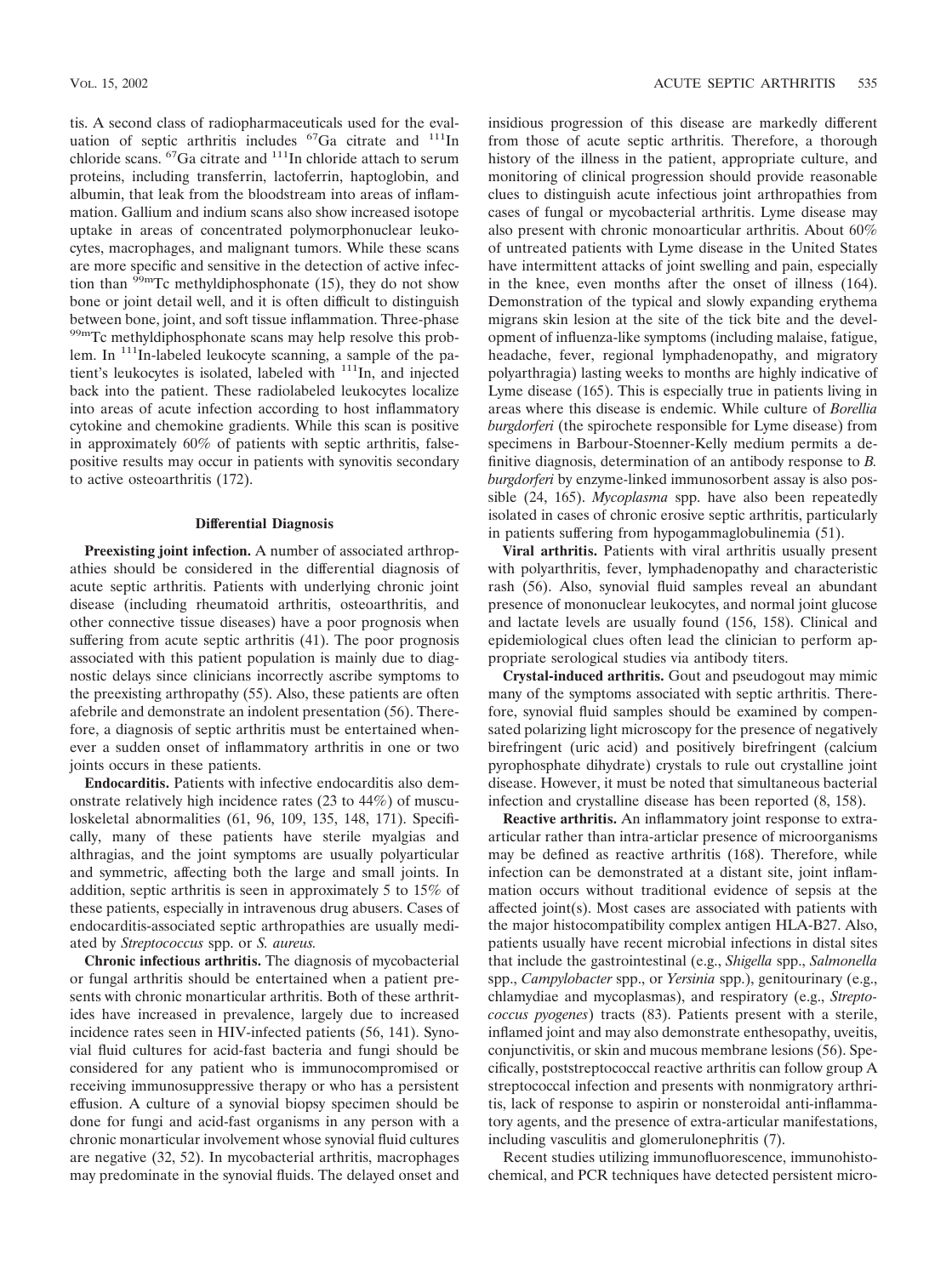tis. A second class of radiopharmaceuticals used for the evaluation of septic arthritis includes  ${}^{67}Ga$  citrate and  ${}^{111}In$ chloride scans. <sup>67</sup>Ga citrate and <sup>111</sup>In chloride attach to serum proteins, including transferrin, lactoferrin, haptoglobin, and albumin, that leak from the bloodstream into areas of inflammation. Gallium and indium scans also show increased isotope uptake in areas of concentrated polymorphonuclear leukocytes, macrophages, and malignant tumors. While these scans are more specific and sensitive in the detection of active infection than  $\frac{\partial^2 m}{\partial x^2}$  methyldiphosphonate (15), they do not show bone or joint detail well, and it is often difficult to distinguish between bone, joint, and soft tissue inflammation. Three-phase <sup>99m</sup>Tc methyldiphosphonate scans may help resolve this problem. In <sup>111</sup>In-labeled leukocyte scanning, a sample of the patient's leukocytes is isolated, labeled with 111In, and injected back into the patient. These radiolabeled leukocytes localize into areas of acute infection according to host inflammatory cytokine and chemokine gradients. While this scan is positive in approximately 60% of patients with septic arthritis, falsepositive results may occur in patients with synovitis secondary to active osteoarthritis (172).

# **Differential Diagnosis**

**Preexisting joint infection.** A number of associated arthropathies should be considered in the differential diagnosis of acute septic arthritis. Patients with underlying chronic joint disease (including rheumatoid arthritis, osteoarthritis, and other connective tissue diseases) have a poor prognosis when suffering from acute septic arthritis (41). The poor prognosis associated with this patient population is mainly due to diagnostic delays since clinicians incorrectly ascribe symptoms to the preexisting arthropathy (55). Also, these patients are often afebrile and demonstrate an indolent presentation (56). Therefore, a diagnosis of septic arthritis must be entertained whenever a sudden onset of inflammatory arthritis in one or two joints occurs in these patients.

**Endocarditis.** Patients with infective endocarditis also demonstrate relatively high incidence rates (23 to 44%) of musculoskeletal abnormalities (61, 96, 109, 135, 148, 171). Specifically, many of these patients have sterile myalgias and althragias, and the joint symptoms are usually polyarticular and symmetric, affecting both the large and small joints. In addition, septic arthritis is seen in approximately 5 to 15% of these patients, especially in intravenous drug abusers. Cases of endocarditis-associated septic arthropathies are usually mediated by *Streptococcus* spp. or *S. aureus.*

**Chronic infectious arthritis.** The diagnosis of mycobacterial or fungal arthritis should be entertained when a patient presents with chronic monarticular arthritis. Both of these arthritides have increased in prevalence, largely due to increased incidence rates seen in HIV-infected patients (56, 141). Synovial fluid cultures for acid-fast bacteria and fungi should be considered for any patient who is immunocompromised or receiving immunosuppressive therapy or who has a persistent effusion. A culture of a synovial biopsy specimen should be done for fungi and acid-fast organisms in any person with a chronic monarticular involvement whose synovial fluid cultures are negative (32, 52). In mycobacterial arthritis, macrophages may predominate in the synovial fluids. The delayed onset and insidious progression of this disease are markedly different from those of acute septic arthritis. Therefore, a thorough history of the illness in the patient, appropriate culture, and monitoring of clinical progression should provide reasonable clues to distinguish acute infectious joint arthropathies from cases of fungal or mycobacterial arthritis. Lyme disease may also present with chronic monoarticular arthritis. About 60% of untreated patients with Lyme disease in the United States have intermittent attacks of joint swelling and pain, especially in the knee, even months after the onset of illness (164). Demonstration of the typical and slowly expanding erythema migrans skin lesion at the site of the tick bite and the development of influenza-like symptoms (including malaise, fatigue, headache, fever, regional lymphadenopathy, and migratory polyarthragia) lasting weeks to months are highly indicative of Lyme disease (165). This is especially true in patients living in areas where this disease is endemic. While culture of *Borellia burgdorferi* (the spirochete responsible for Lyme disease) from specimens in Barbour-Stoenner-Kelly medium permits a definitive diagnosis, determination of an antibody response to *B. burgdorferi* by enzyme-linked immunosorbent assay is also possible (24, 165). *Mycoplasma* spp. have also been repeatedly isolated in cases of chronic erosive septic arthritis, particularly in patients suffering from hypogammaglobulinemia (51).

**Viral arthritis.** Patients with viral arthritis usually present with polyarthritis, fever, lymphadenopathy and characteristic rash (56). Also, synovial fluid samples reveal an abundant presence of mononuclear leukocytes, and normal joint glucose and lactate levels are usually found (156, 158). Clinical and epidemiological clues often lead the clinician to perform appropriate serological studies via antibody titers.

**Crystal-induced arthritis.** Gout and pseudogout may mimic many of the symptoms associated with septic arthritis. Therefore, synovial fluid samples should be examined by compensated polarizing light microscopy for the presence of negatively birefringent (uric acid) and positively birefringent (calcium pyrophosphate dihydrate) crystals to rule out crystalline joint disease. However, it must be noted that simultaneous bacterial infection and crystalline disease has been reported (8, 158).

**Reactive arthritis.** An inflammatory joint response to extraarticular rather than intra-articlar presence of microorganisms may be defined as reactive arthritis (168). Therefore, while infection can be demonstrated at a distant site, joint inflammation occurs without traditional evidence of sepsis at the affected joint(s). Most cases are associated with patients with the major histocompatibility complex antigen HLA-B27. Also, patients usually have recent microbial infections in distal sites that include the gastrointestinal (e.g., *Shigella* spp., *Salmonella* spp., *Campylobacter* spp., or *Yersinia* spp.), genitourinary (e.g., chlamydiae and mycoplasmas), and respiratory (e.g., *Streptococcus pyogenes*) tracts (83). Patients present with a sterile, inflamed joint and may also demonstrate enthesopathy, uveitis, conjunctivitis, or skin and mucous membrane lesions (56). Specifically, poststreptococcal reactive arthritis can follow group A streptococcal infection and presents with nonmigratory arthritis, lack of response to aspirin or nonsteroidal anti-inflammatory agents, and the presence of extra-articular manifestations, including vasculitis and glomerulonephritis (7).

Recent studies utilizing immunofluorescence, immunohistochemical, and PCR techniques have detected persistent micro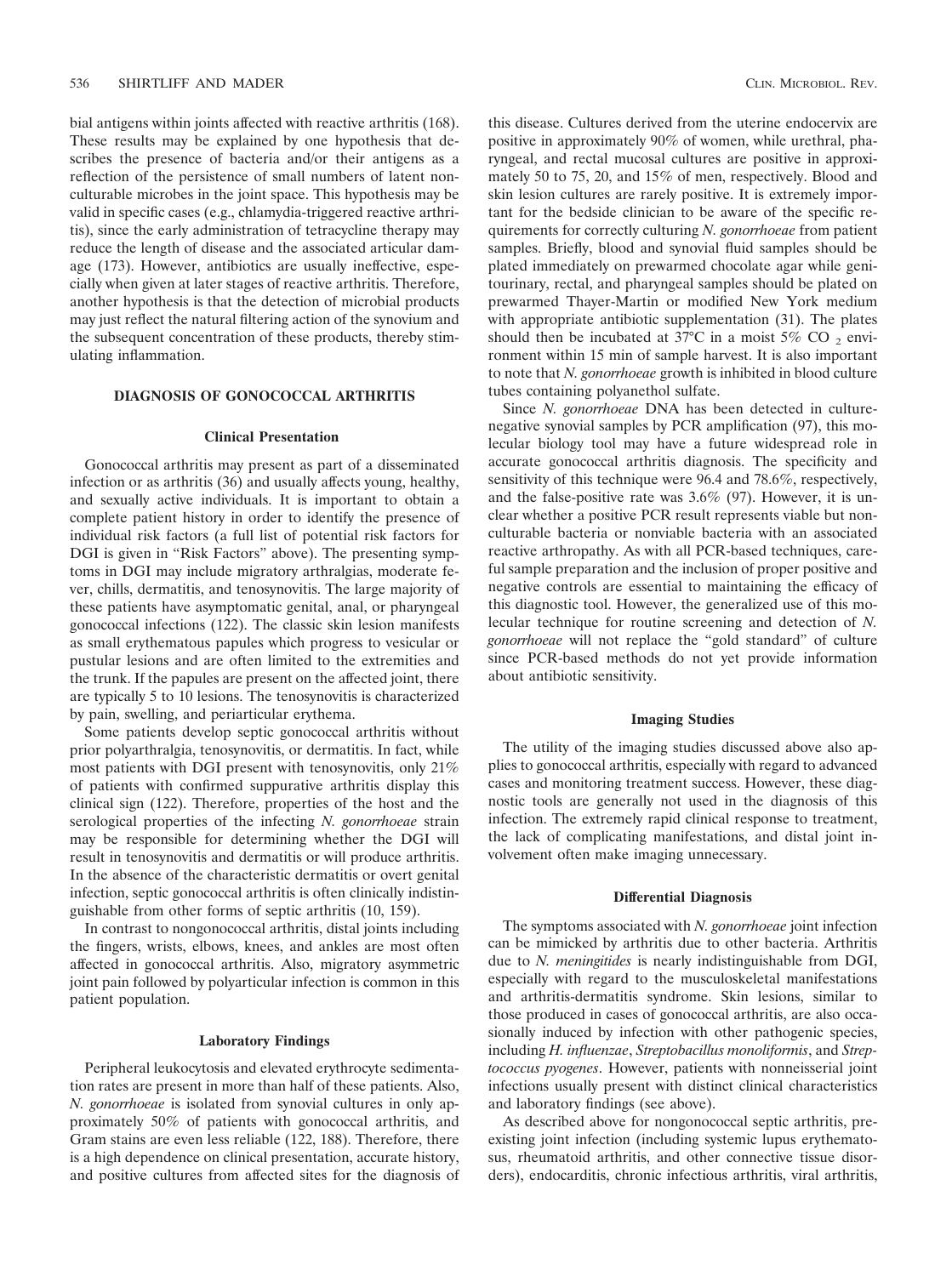bial antigens within joints affected with reactive arthritis (168). These results may be explained by one hypothesis that describes the presence of bacteria and/or their antigens as a reflection of the persistence of small numbers of latent nonculturable microbes in the joint space. This hypothesis may be valid in specific cases (e.g., chlamydia-triggered reactive arthritis), since the early administration of tetracycline therapy may reduce the length of disease and the associated articular damage (173). However, antibiotics are usually ineffective, especially when given at later stages of reactive arthritis. Therefore, another hypothesis is that the detection of microbial products may just reflect the natural filtering action of the synovium and the subsequent concentration of these products, thereby stimulating inflammation.

# **DIAGNOSIS OF GONOCOCCAL ARTHRITIS**

#### **Clinical Presentation**

Gonococcal arthritis may present as part of a disseminated infection or as arthritis (36) and usually affects young, healthy, and sexually active individuals. It is important to obtain a complete patient history in order to identify the presence of individual risk factors (a full list of potential risk factors for DGI is given in "Risk Factors" above). The presenting symptoms in DGI may include migratory arthralgias, moderate fever, chills, dermatitis, and tenosynovitis. The large majority of these patients have asymptomatic genital, anal, or pharyngeal gonococcal infections (122). The classic skin lesion manifests as small erythematous papules which progress to vesicular or pustular lesions and are often limited to the extremities and the trunk. If the papules are present on the affected joint, there are typically 5 to 10 lesions. The tenosynovitis is characterized by pain, swelling, and periarticular erythema.

Some patients develop septic gonococcal arthritis without prior polyarthralgia, tenosynovitis, or dermatitis. In fact, while most patients with DGI present with tenosynovitis, only 21% of patients with confirmed suppurative arthritis display this clinical sign (122). Therefore, properties of the host and the serological properties of the infecting *N. gonorrhoeae* strain may be responsible for determining whether the DGI will result in tenosynovitis and dermatitis or will produce arthritis. In the absence of the characteristic dermatitis or overt genital infection, septic gonococcal arthritis is often clinically indistinguishable from other forms of septic arthritis (10, 159).

In contrast to nongonococcal arthritis, distal joints including the fingers, wrists, elbows, knees, and ankles are most often affected in gonococcal arthritis. Also, migratory asymmetric joint pain followed by polyarticular infection is common in this patient population.

## **Laboratory Findings**

Peripheral leukocytosis and elevated erythrocyte sedimentation rates are present in more than half of these patients. Also, *N. gonorrhoeae* is isolated from synovial cultures in only approximately 50% of patients with gonococcal arthritis, and Gram stains are even less reliable (122, 188). Therefore, there is a high dependence on clinical presentation, accurate history, and positive cultures from affected sites for the diagnosis of this disease. Cultures derived from the uterine endocervix are positive in approximately 90% of women, while urethral, pharyngeal, and rectal mucosal cultures are positive in approximately 50 to 75, 20, and 15% of men, respectively. Blood and skin lesion cultures are rarely positive. It is extremely important for the bedside clinician to be aware of the specific requirements for correctly culturing *N. gonorrhoeae* from patient samples. Briefly, blood and synovial fluid samples should be plated immediately on prewarmed chocolate agar while genitourinary, rectal, and pharyngeal samples should be plated on prewarmed Thayer-Martin or modified New York medium with appropriate antibiotic supplementation (31). The plates should then be incubated at 37 $\degree$ C in a moist 5% CO <sub>2</sub> environment within 15 min of sample harvest. It is also important to note that *N. gonorrhoeae* growth is inhibited in blood culture tubes containing polyanethol sulfate.

Since *N. gonorrhoeae* DNA has been detected in culturenegative synovial samples by PCR amplification (97), this molecular biology tool may have a future widespread role in accurate gonococcal arthritis diagnosis. The specificity and sensitivity of this technique were 96.4 and 78.6%, respectively, and the false-positive rate was 3.6% (97). However, it is unclear whether a positive PCR result represents viable but nonculturable bacteria or nonviable bacteria with an associated reactive arthropathy. As with all PCR-based techniques, careful sample preparation and the inclusion of proper positive and negative controls are essential to maintaining the efficacy of this diagnostic tool. However, the generalized use of this molecular technique for routine screening and detection of *N. gonorrhoeae* will not replace the "gold standard" of culture since PCR-based methods do not yet provide information about antibiotic sensitivity.

# **Imaging Studies**

The utility of the imaging studies discussed above also applies to gonococcal arthritis, especially with regard to advanced cases and monitoring treatment success. However, these diagnostic tools are generally not used in the diagnosis of this infection. The extremely rapid clinical response to treatment, the lack of complicating manifestations, and distal joint involvement often make imaging unnecessary.

## **Differential Diagnosis**

The symptoms associated with *N. gonorrhoeae* joint infection can be mimicked by arthritis due to other bacteria. Arthritis due to *N. meningitides* is nearly indistinguishable from DGI, especially with regard to the musculoskeletal manifestations and arthritis-dermatitis syndrome. Skin lesions, similar to those produced in cases of gonococcal arthritis, are also occasionally induced by infection with other pathogenic species, including *H. influenzae*, *Streptobacillus monoliformis*, and *Streptococcus pyogenes*. However, patients with nonneisserial joint infections usually present with distinct clinical characteristics and laboratory findings (see above).

As described above for nongonococcal septic arthritis, preexisting joint infection (including systemic lupus erythematosus, rheumatoid arthritis, and other connective tissue disorders), endocarditis, chronic infectious arthritis, viral arthritis,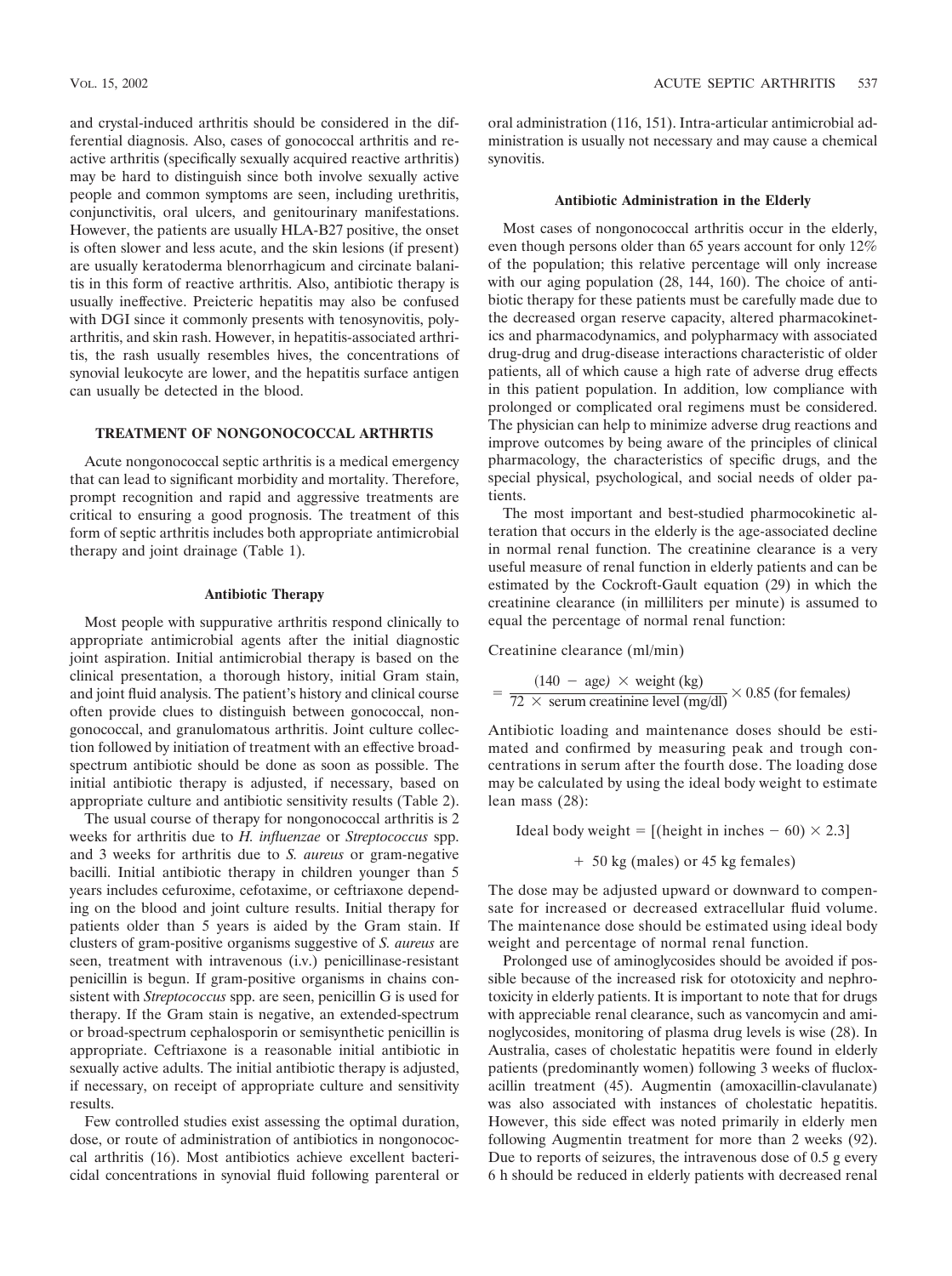and crystal-induced arthritis should be considered in the differential diagnosis. Also, cases of gonococcal arthritis and reactive arthritis (specifically sexually acquired reactive arthritis) may be hard to distinguish since both involve sexually active people and common symptoms are seen, including urethritis, conjunctivitis, oral ulcers, and genitourinary manifestations. However, the patients are usually HLA-B27 positive, the onset is often slower and less acute, and the skin lesions (if present) are usually keratoderma blenorrhagicum and circinate balanitis in this form of reactive arthritis. Also, antibiotic therapy is usually ineffective. Preicteric hepatitis may also be confused with DGI since it commonly presents with tenosynovitis, polyarthritis, and skin rash. However, in hepatitis-associated arthritis, the rash usually resembles hives, the concentrations of synovial leukocyte are lower, and the hepatitis surface antigen can usually be detected in the blood.

# **TREATMENT OF NONGONOCOCCAL ARTHRTIS**

Acute nongonococcal septic arthritis is a medical emergency that can lead to significant morbidity and mortality. Therefore, prompt recognition and rapid and aggressive treatments are critical to ensuring a good prognosis. The treatment of this form of septic arthritis includes both appropriate antimicrobial therapy and joint drainage (Table 1).

# **Antibiotic Therapy**

Most people with suppurative arthritis respond clinically to appropriate antimicrobial agents after the initial diagnostic joint aspiration. Initial antimicrobial therapy is based on the clinical presentation, a thorough history, initial Gram stain, and joint fluid analysis. The patient's history and clinical course often provide clues to distinguish between gonococcal, nongonococcal, and granulomatous arthritis. Joint culture collection followed by initiation of treatment with an effective broadspectrum antibiotic should be done as soon as possible. The initial antibiotic therapy is adjusted, if necessary, based on appropriate culture and antibiotic sensitivity results (Table 2).

The usual course of therapy for nongonococcal arthritis is 2 weeks for arthritis due to *H. influenzae* or *Streptococcus* spp. and 3 weeks for arthritis due to *S. aureus* or gram-negative bacilli. Initial antibiotic therapy in children younger than 5 years includes cefuroxime, cefotaxime, or ceftriaxone depending on the blood and joint culture results. Initial therapy for patients older than 5 years is aided by the Gram stain. If clusters of gram-positive organisms suggestive of *S. aureus* are seen, treatment with intravenous (i.v.) penicillinase-resistant penicillin is begun. If gram-positive organisms in chains consistent with *Streptococcus* spp. are seen, penicillin G is used for therapy. If the Gram stain is negative, an extended-spectrum or broad-spectrum cephalosporin or semisynthetic penicillin is appropriate. Ceftriaxone is a reasonable initial antibiotic in sexually active adults. The initial antibiotic therapy is adjusted, if necessary, on receipt of appropriate culture and sensitivity results.

Few controlled studies exist assessing the optimal duration, dose, or route of administration of antibiotics in nongonococcal arthritis (16). Most antibiotics achieve excellent bactericidal concentrations in synovial fluid following parenteral or oral administration (116, 151). Intra-articular antimicrobial administration is usually not necessary and may cause a chemical synovitis.

## **Antibiotic Administration in the Elderly**

Most cases of nongonococcal arthritis occur in the elderly, even though persons older than 65 years account for only 12% of the population; this relative percentage will only increase with our aging population (28, 144, 160). The choice of antibiotic therapy for these patients must be carefully made due to the decreased organ reserve capacity, altered pharmacokinetics and pharmacodynamics, and polypharmacy with associated drug-drug and drug-disease interactions characteristic of older patients, all of which cause a high rate of adverse drug effects in this patient population. In addition, low compliance with prolonged or complicated oral regimens must be considered. The physician can help to minimize adverse drug reactions and improve outcomes by being aware of the principles of clinical pharmacology, the characteristics of specific drugs, and the special physical, psychological, and social needs of older patients.

The most important and best-studied pharmocokinetic alteration that occurs in the elderly is the age-associated decline in normal renal function. The creatinine clearance is a very useful measure of renal function in elderly patients and can be estimated by the Cockroft-Gault equation (29) in which the creatinine clearance (in milliliters per minute) is assumed to equal the percentage of normal renal function:

Creatinine clearance (ml/min)

$$
= \frac{(140 - \text{age}) \times \text{weight (kg)}}{72 \times \text{serum creationine level (mg/dl)}} \times 0.85 \text{ (for females)}
$$

Antibiotic loading and maintenance doses should be estimated and confirmed by measuring peak and trough concentrations in serum after the fourth dose. The loading dose may be calculated by using the ideal body weight to estimate lean mass (28):

Ideal body weight = [(height in inches  $-60 \times 2.3$ ]

$$
+ 50 \text{ kg (males) or } 45 \text{ kg females})
$$

The dose may be adjusted upward or downward to compensate for increased or decreased extracellular fluid volume. The maintenance dose should be estimated using ideal body weight and percentage of normal renal function.

Prolonged use of aminoglycosides should be avoided if possible because of the increased risk for ototoxicity and nephrotoxicity in elderly patients. It is important to note that for drugs with appreciable renal clearance, such as vancomycin and aminoglycosides, monitoring of plasma drug levels is wise (28). In Australia, cases of cholestatic hepatitis were found in elderly patients (predominantly women) following 3 weeks of flucloxacillin treatment (45). Augmentin (amoxacillin-clavulanate) was also associated with instances of cholestatic hepatitis. However, this side effect was noted primarily in elderly men following Augmentin treatment for more than 2 weeks (92). Due to reports of seizures, the intravenous dose of 0.5 g every 6 h should be reduced in elderly patients with decreased renal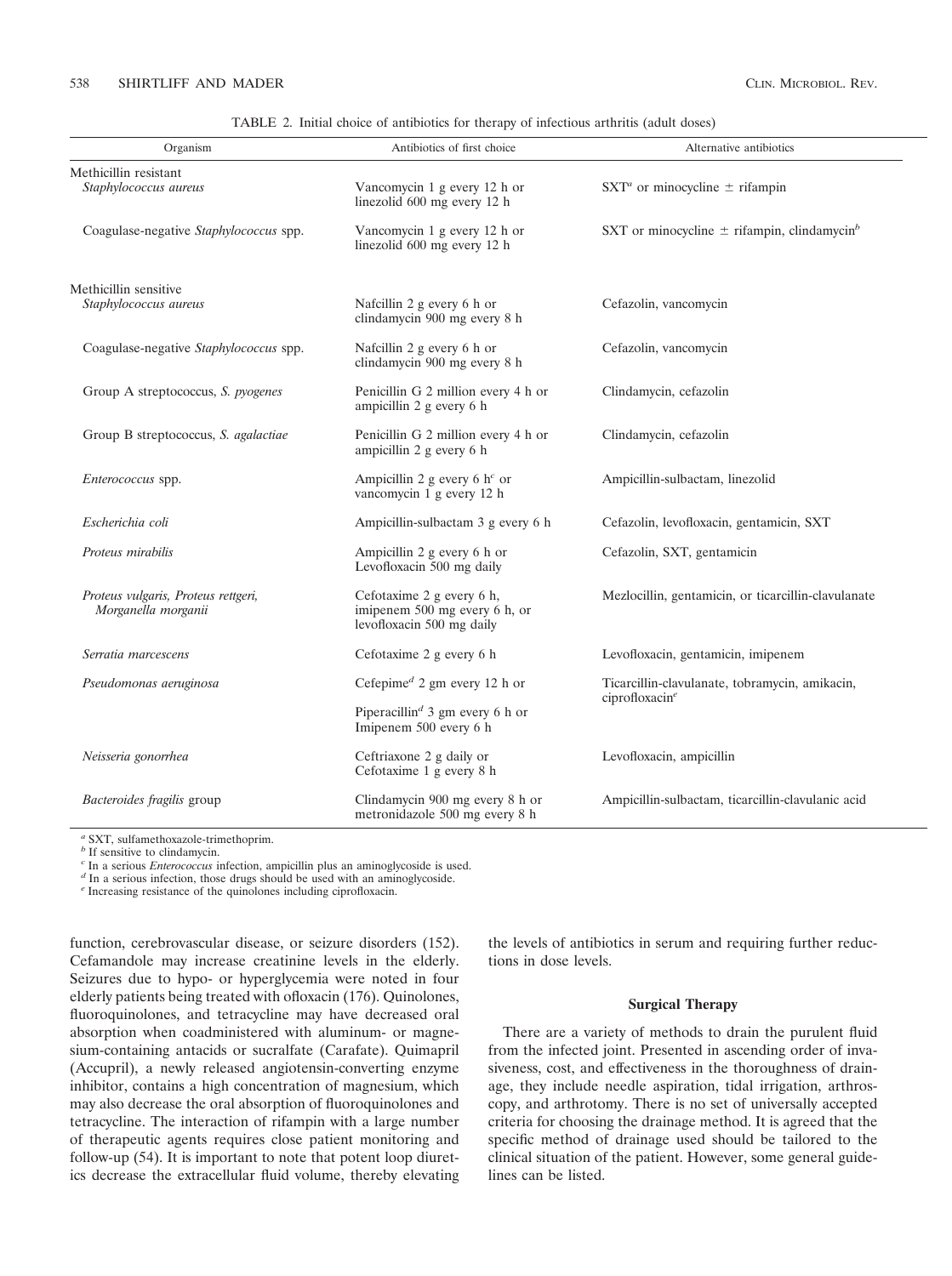|  |  | TABLE 2. Initial choice of antibiotics for therapy of infectious arthritis (adult doses) |
|--|--|------------------------------------------------------------------------------------------|
|  |  |                                                                                          |

| Organism                                                   | Antibiotics of first choice                                                             | Alternative antibiotics                                     |  |
|------------------------------------------------------------|-----------------------------------------------------------------------------------------|-------------------------------------------------------------|--|
| Methicillin resistant<br>Staphylococcus aureus             | Vancomycin 1 g every 12 h or<br>linezolid 600 mg every 12 h                             | SXT <sup>a</sup> or minocycline $\pm$ rifampin              |  |
| Coagulase-negative Staphylococcus spp.                     | Vancomycin 1 g every 12 h or<br>linezolid 600 mg every 12 h                             | SXT or minocycline $\pm$ rifampin, clindamycin <sup>b</sup> |  |
| Methicillin sensitive<br>Staphylococcus aureus             | Nafcillin 2 g every 6 h or<br>clindamycin 900 mg every 8 h                              | Cefazolin, vancomycin                                       |  |
| Coagulase-negative Staphylococcus spp.                     | Nafcillin 2 g every 6 h or<br>clindamycin 900 mg every 8 h                              | Cefazolin, vancomycin                                       |  |
| Group A streptococcus, S. pyogenes                         | Penicillin G 2 million every 4 h or<br>ampicillin 2 g every 6 h                         | Clindamycin, cefazolin                                      |  |
| Group B streptococcus, S. agalactiae                       | Penicillin G 2 million every 4 h or<br>ampicillin 2 g every 6 h                         | Clindamycin, cefazolin                                      |  |
| Enterococcus spp.                                          | Ampicillin 2 g every 6 $h^c$ or<br>vancomycin 1 g every 12 h                            | Ampicillin-sulbactam, linezolid                             |  |
| Escherichia coli                                           | Ampicillin-sulbactam 3 g every 6 h                                                      | Cefazolin, levofloxacin, gentamicin, SXT                    |  |
| Proteus mirabilis                                          | Ampicillin 2 g every 6 h or<br>Levofloxacin 500 mg daily                                | Cefazolin, SXT, gentamicin                                  |  |
| Proteus vulgaris, Proteus rettgeri,<br>Morganella morganii | Cefotaxime 2 g every 6 h,<br>imipenem 500 mg every 6 h, or<br>levofloxacin 500 mg daily | Mezlocillin, gentamicin, or ticarcillin-clavulanate         |  |
| Serratia marcescens                                        | Cefotaxime 2 g every 6 h                                                                | Levofloxacin, gentamicin, imipenem                          |  |
| Pseudomonas aeruginosa                                     | Cefepime <sup><math>d</math></sup> 2 gm every 12 h or                                   | Ticarcillin-clavulanate, tobramycin, amikacin,              |  |
|                                                            | Piperacillin <sup>d</sup> 3 gm every 6 h or<br>Imipenem 500 every 6 h                   | ciprofloxacine                                              |  |
| Neisseria gonorrhea                                        | Ceftriaxone 2 g daily or<br>Cefotaxime 1 g every 8 h                                    | Levofloxacin, ampicillin                                    |  |
| Bacteroides fragilis group                                 | Clindamycin 900 mg every 8 h or<br>metronidazole 500 mg every 8 h                       | Ampicillin-sulbactam, ticarcillin-clavulanic acid           |  |

*<sup>a</sup>* SXT, sulfamethoxazole-trimethoprim.

*b* If sensitive to clindamycin.<br>
<sup>*b*</sup> If sensitive to clindamycin.<br>
<sup>*c*</sup> In a serious *Enterococcus* infection, ampicillin plus an aminoglycoside is used.

<sup>*d*</sup> In a serious infection, those drugs should be used with an aminoglycoside.

*<sup>e</sup>* Increasing resistance of the quinolones including ciprofloxacin.

function, cerebrovascular disease, or seizure disorders (152). Cefamandole may increase creatinine levels in the elderly. Seizures due to hypo- or hyperglycemia were noted in four elderly patients being treated with ofloxacin (176). Quinolones, fluoroquinolones, and tetracycline may have decreased oral absorption when coadministered with aluminum- or magnesium-containing antacids or sucralfate (Carafate). Quimapril (Accupril), a newly released angiotensin-converting enzyme inhibitor, contains a high concentration of magnesium, which may also decrease the oral absorption of fluoroquinolones and tetracycline. The interaction of rifampin with a large number of therapeutic agents requires close patient monitoring and follow-up (54). It is important to note that potent loop diuretics decrease the extracellular fluid volume, thereby elevating

the levels of antibiotics in serum and requiring further reductions in dose levels.

# **Surgical Therapy**

There are a variety of methods to drain the purulent fluid from the infected joint. Presented in ascending order of invasiveness, cost, and effectiveness in the thoroughness of drainage, they include needle aspiration, tidal irrigation, arthroscopy, and arthrotomy. There is no set of universally accepted criteria for choosing the drainage method. It is agreed that the specific method of drainage used should be tailored to the clinical situation of the patient. However, some general guidelines can be listed.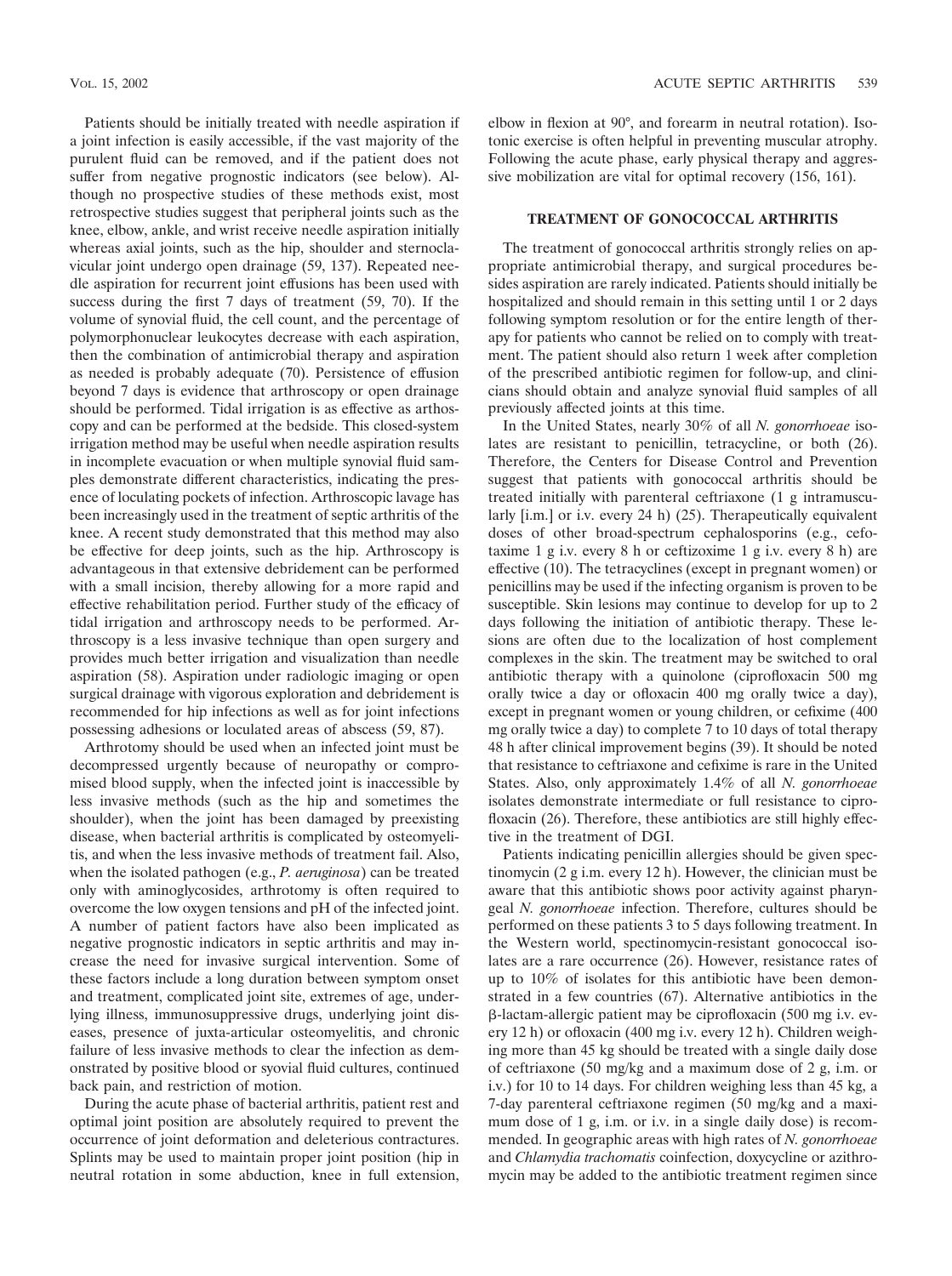Patients should be initially treated with needle aspiration if a joint infection is easily accessible, if the vast majority of the purulent fluid can be removed, and if the patient does not suffer from negative prognostic indicators (see below). Although no prospective studies of these methods exist, most retrospective studies suggest that peripheral joints such as the knee, elbow, ankle, and wrist receive needle aspiration initially whereas axial joints, such as the hip, shoulder and sternoclavicular joint undergo open drainage (59, 137). Repeated needle aspiration for recurrent joint effusions has been used with success during the first 7 days of treatment (59, 70). If the volume of synovial fluid, the cell count, and the percentage of polymorphonuclear leukocytes decrease with each aspiration, then the combination of antimicrobial therapy and aspiration as needed is probably adequate (70). Persistence of effusion beyond 7 days is evidence that arthroscopy or open drainage should be performed. Tidal irrigation is as effective as arthoscopy and can be performed at the bedside. This closed-system irrigation method may be useful when needle aspiration results in incomplete evacuation or when multiple synovial fluid samples demonstrate different characteristics, indicating the presence of loculating pockets of infection. Arthroscopic lavage has been increasingly used in the treatment of septic arthritis of the knee. A recent study demonstrated that this method may also be effective for deep joints, such as the hip. Arthroscopy is advantageous in that extensive debridement can be performed with a small incision, thereby allowing for a more rapid and effective rehabilitation period. Further study of the efficacy of tidal irrigation and arthroscopy needs to be performed. Arthroscopy is a less invasive technique than open surgery and provides much better irrigation and visualization than needle aspiration (58). Aspiration under radiologic imaging or open surgical drainage with vigorous exploration and debridement is recommended for hip infections as well as for joint infections possessing adhesions or loculated areas of abscess (59, 87).

Arthrotomy should be used when an infected joint must be decompressed urgently because of neuropathy or compromised blood supply, when the infected joint is inaccessible by less invasive methods (such as the hip and sometimes the shoulder), when the joint has been damaged by preexisting disease, when bacterial arthritis is complicated by osteomyelitis, and when the less invasive methods of treatment fail. Also, when the isolated pathogen (e.g., *P. aeruginosa*) can be treated only with aminoglycosides, arthrotomy is often required to overcome the low oxygen tensions and pH of the infected joint. A number of patient factors have also been implicated as negative prognostic indicators in septic arthritis and may increase the need for invasive surgical intervention. Some of these factors include a long duration between symptom onset and treatment, complicated joint site, extremes of age, underlying illness, immunosuppressive drugs, underlying joint diseases, presence of juxta-articular osteomyelitis, and chronic failure of less invasive methods to clear the infection as demonstrated by positive blood or syovial fluid cultures, continued back pain, and restriction of motion.

During the acute phase of bacterial arthritis, patient rest and optimal joint position are absolutely required to prevent the occurrence of joint deformation and deleterious contractures. Splints may be used to maintain proper joint position (hip in neutral rotation in some abduction, knee in full extension, elbow in flexion at 90°, and forearm in neutral rotation). Isotonic exercise is often helpful in preventing muscular atrophy. Following the acute phase, early physical therapy and aggressive mobilization are vital for optimal recovery (156, 161).

# **TREATMENT OF GONOCOCCAL ARTHRITIS**

The treatment of gonococcal arthritis strongly relies on appropriate antimicrobial therapy, and surgical procedures besides aspiration are rarely indicated. Patients should initially be hospitalized and should remain in this setting until 1 or 2 days following symptom resolution or for the entire length of therapy for patients who cannot be relied on to comply with treatment. The patient should also return 1 week after completion of the prescribed antibiotic regimen for follow-up, and clinicians should obtain and analyze synovial fluid samples of all previously affected joints at this time.

In the United States, nearly 30% of all *N. gonorrhoeae* isolates are resistant to penicillin, tetracycline, or both (26). Therefore, the Centers for Disease Control and Prevention suggest that patients with gonococcal arthritis should be treated initially with parenteral ceftriaxone (1 g intramuscularly [i.m.] or i.v. every 24 h) (25). Therapeutically equivalent doses of other broad-spectrum cephalosporins (e.g., cefotaxime 1 g i.v. every 8 h or ceftizoxime 1 g i.v. every 8 h) are effective (10). The tetracyclines (except in pregnant women) or penicillins may be used if the infecting organism is proven to be susceptible. Skin lesions may continue to develop for up to 2 days following the initiation of antibiotic therapy. These lesions are often due to the localization of host complement complexes in the skin. The treatment may be switched to oral antibiotic therapy with a quinolone (ciprofloxacin 500 mg orally twice a day or ofloxacin 400 mg orally twice a day), except in pregnant women or young children, or cefixime (400 mg orally twice a day) to complete 7 to 10 days of total therapy 48 h after clinical improvement begins (39). It should be noted that resistance to ceftriaxone and cefixime is rare in the United States. Also, only approximately 1.4% of all *N. gonorrhoeae* isolates demonstrate intermediate or full resistance to ciprofloxacin (26). Therefore, these antibiotics are still highly effective in the treatment of DGI.

Patients indicating penicillin allergies should be given spectinomycin (2 g i.m. every 12 h). However, the clinician must be aware that this antibiotic shows poor activity against pharyngeal *N. gonorrhoeae* infection. Therefore, cultures should be performed on these patients 3 to 5 days following treatment. In the Western world, spectinomycin-resistant gonococcal isolates are a rare occurrence (26). However, resistance rates of up to 10% of isolates for this antibiotic have been demonstrated in a few countries (67). Alternative antibiotics in the -lactam-allergic patient may be ciprofloxacin (500 mg i.v. every 12 h) or ofloxacin (400 mg i.v. every 12 h). Children weighing more than 45 kg should be treated with a single daily dose of ceftriaxone (50 mg/kg and a maximum dose of 2 g, i.m. or i.v.) for 10 to 14 days. For children weighing less than 45 kg, a 7-day parenteral ceftriaxone regimen (50 mg/kg and a maximum dose of 1 g, i.m. or i.v. in a single daily dose) is recommended. In geographic areas with high rates of *N. gonorrhoeae* and *Chlamydia trachomatis* coinfection, doxycycline or azithromycin may be added to the antibiotic treatment regimen since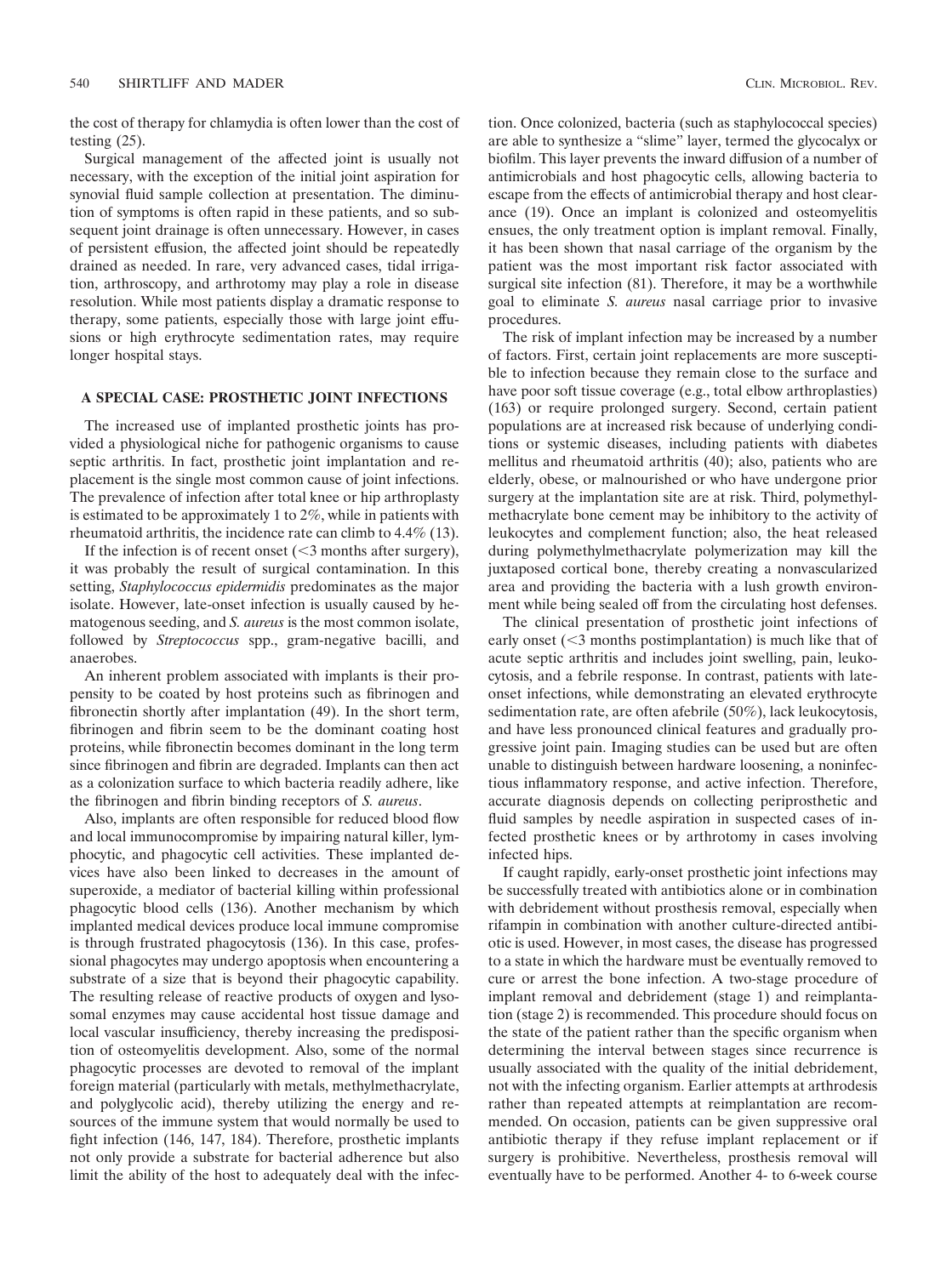the cost of therapy for chlamydia is often lower than the cost of testing (25).

Surgical management of the affected joint is usually not necessary, with the exception of the initial joint aspiration for synovial fluid sample collection at presentation. The diminution of symptoms is often rapid in these patients, and so subsequent joint drainage is often unnecessary. However, in cases of persistent effusion, the affected joint should be repeatedly drained as needed. In rare, very advanced cases, tidal irrigation, arthroscopy, and arthrotomy may play a role in disease resolution. While most patients display a dramatic response to therapy, some patients, especially those with large joint effusions or high erythrocyte sedimentation rates, may require longer hospital stays.

## **A SPECIAL CASE: PROSTHETIC JOINT INFECTIONS**

The increased use of implanted prosthetic joints has provided a physiological niche for pathogenic organisms to cause septic arthritis. In fact, prosthetic joint implantation and replacement is the single most common cause of joint infections. The prevalence of infection after total knee or hip arthroplasty is estimated to be approximately 1 to 2%, while in patients with rheumatoid arthritis, the incidence rate can climb to 4.4% (13).

If the infection is of recent onset  $(<$ 3 months after surgery), it was probably the result of surgical contamination. In this setting, *Staphylococcus epidermidis* predominates as the major isolate. However, late-onset infection is usually caused by hematogenous seeding, and *S. aureus* is the most common isolate, followed by *Streptococcus* spp., gram-negative bacilli, and anaerobes.

An inherent problem associated with implants is their propensity to be coated by host proteins such as fibrinogen and fibronectin shortly after implantation (49). In the short term, fibrinogen and fibrin seem to be the dominant coating host proteins, while fibronectin becomes dominant in the long term since fibrinogen and fibrin are degraded. Implants can then act as a colonization surface to which bacteria readily adhere, like the fibrinogen and fibrin binding receptors of *S. aureus*.

Also, implants are often responsible for reduced blood flow and local immunocompromise by impairing natural killer, lymphocytic, and phagocytic cell activities. These implanted devices have also been linked to decreases in the amount of superoxide, a mediator of bacterial killing within professional phagocytic blood cells (136). Another mechanism by which implanted medical devices produce local immune compromise is through frustrated phagocytosis (136). In this case, professional phagocytes may undergo apoptosis when encountering a substrate of a size that is beyond their phagocytic capability. The resulting release of reactive products of oxygen and lysosomal enzymes may cause accidental host tissue damage and local vascular insufficiency, thereby increasing the predisposition of osteomyelitis development. Also, some of the normal phagocytic processes are devoted to removal of the implant foreign material (particularly with metals, methylmethacrylate, and polyglycolic acid), thereby utilizing the energy and resources of the immune system that would normally be used to fight infection (146, 147, 184). Therefore, prosthetic implants not only provide a substrate for bacterial adherence but also limit the ability of the host to adequately deal with the infection. Once colonized, bacteria (such as staphylococcal species) are able to synthesize a "slime" layer, termed the glycocalyx or biofilm. This layer prevents the inward diffusion of a number of antimicrobials and host phagocytic cells, allowing bacteria to escape from the effects of antimicrobial therapy and host clearance (19). Once an implant is colonized and osteomyelitis ensues, the only treatment option is implant removal. Finally, it has been shown that nasal carriage of the organism by the patient was the most important risk factor associated with surgical site infection (81). Therefore, it may be a worthwhile goal to eliminate *S. aureus* nasal carriage prior to invasive procedures.

The risk of implant infection may be increased by a number of factors. First, certain joint replacements are more susceptible to infection because they remain close to the surface and have poor soft tissue coverage (e.g., total elbow arthroplasties) (163) or require prolonged surgery. Second, certain patient populations are at increased risk because of underlying conditions or systemic diseases, including patients with diabetes mellitus and rheumatoid arthritis (40); also, patients who are elderly, obese, or malnourished or who have undergone prior surgery at the implantation site are at risk. Third, polymethylmethacrylate bone cement may be inhibitory to the activity of leukocytes and complement function; also, the heat released during polymethylmethacrylate polymerization may kill the juxtaposed cortical bone, thereby creating a nonvascularized area and providing the bacteria with a lush growth environment while being sealed off from the circulating host defenses.

The clinical presentation of prosthetic joint infections of early onset  $(<$ 3 months postimplantation) is much like that of acute septic arthritis and includes joint swelling, pain, leukocytosis, and a febrile response. In contrast, patients with lateonset infections, while demonstrating an elevated erythrocyte sedimentation rate, are often afebrile (50%), lack leukocytosis, and have less pronounced clinical features and gradually progressive joint pain. Imaging studies can be used but are often unable to distinguish between hardware loosening, a noninfectious inflammatory response, and active infection. Therefore, accurate diagnosis depends on collecting periprosthetic and fluid samples by needle aspiration in suspected cases of infected prosthetic knees or by arthrotomy in cases involving infected hips.

If caught rapidly, early-onset prosthetic joint infections may be successfully treated with antibiotics alone or in combination with debridement without prosthesis removal, especially when rifampin in combination with another culture-directed antibiotic is used. However, in most cases, the disease has progressed to a state in which the hardware must be eventually removed to cure or arrest the bone infection. A two-stage procedure of implant removal and debridement (stage 1) and reimplantation (stage 2) is recommended. This procedure should focus on the state of the patient rather than the specific organism when determining the interval between stages since recurrence is usually associated with the quality of the initial debridement, not with the infecting organism. Earlier attempts at arthrodesis rather than repeated attempts at reimplantation are recommended. On occasion, patients can be given suppressive oral antibiotic therapy if they refuse implant replacement or if surgery is prohibitive. Nevertheless, prosthesis removal will eventually have to be performed. Another 4- to 6-week course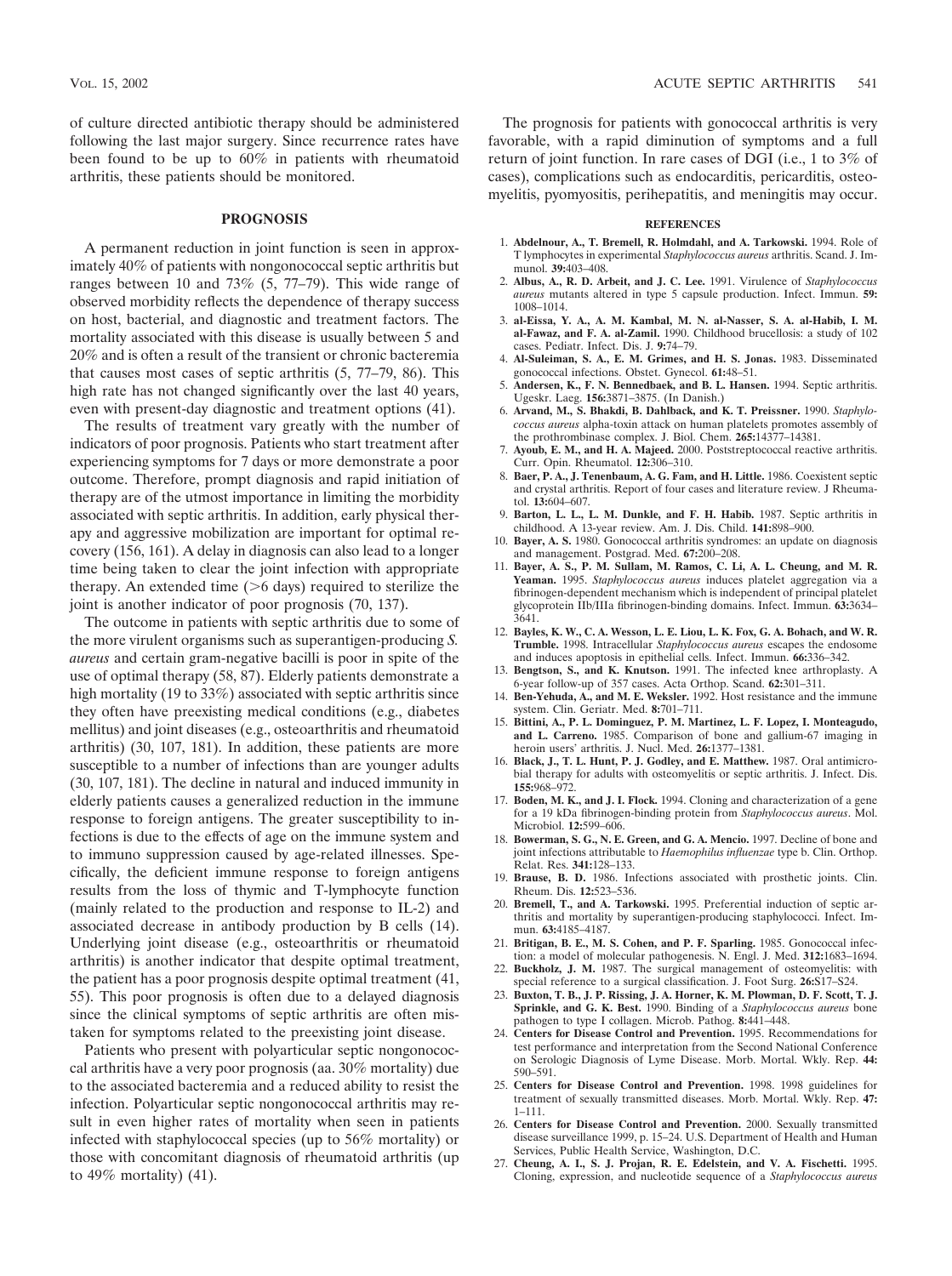of culture directed antibiotic therapy should be administered following the last major surgery. Since recurrence rates have been found to be up to 60% in patients with rheumatoid arthritis, these patients should be monitored.

## **PROGNOSIS**

A permanent reduction in joint function is seen in approximately 40% of patients with nongonococcal septic arthritis but ranges between 10 and 73% (5, 77–79). This wide range of observed morbidity reflects the dependence of therapy success on host, bacterial, and diagnostic and treatment factors. The mortality associated with this disease is usually between 5 and 20% and is often a result of the transient or chronic bacteremia that causes most cases of septic arthritis (5, 77–79, 86). This high rate has not changed significantly over the last 40 years, even with present-day diagnostic and treatment options (41).

The results of treatment vary greatly with the number of indicators of poor prognosis. Patients who start treatment after experiencing symptoms for 7 days or more demonstrate a poor outcome. Therefore, prompt diagnosis and rapid initiation of therapy are of the utmost importance in limiting the morbidity associated with septic arthritis. In addition, early physical therapy and aggressive mobilization are important for optimal recovery (156, 161). A delay in diagnosis can also lead to a longer time being taken to clear the joint infection with appropriate therapy. An extended time  $($ >6 days) required to sterilize the joint is another indicator of poor prognosis (70, 137).

The outcome in patients with septic arthritis due to some of the more virulent organisms such as superantigen-producing *S. aureus* and certain gram-negative bacilli is poor in spite of the use of optimal therapy (58, 87). Elderly patients demonstrate a high mortality (19 to 33%) associated with septic arthritis since they often have preexisting medical conditions (e.g., diabetes mellitus) and joint diseases (e.g., osteoarthritis and rheumatoid arthritis) (30, 107, 181). In addition, these patients are more susceptible to a number of infections than are younger adults (30, 107, 181). The decline in natural and induced immunity in elderly patients causes a generalized reduction in the immune response to foreign antigens. The greater susceptibility to infections is due to the effects of age on the immune system and to immuno suppression caused by age-related illnesses. Specifically, the deficient immune response to foreign antigens results from the loss of thymic and T-lymphocyte function (mainly related to the production and response to IL-2) and associated decrease in antibody production by B cells (14). Underlying joint disease (e.g., osteoarthritis or rheumatoid arthritis) is another indicator that despite optimal treatment, the patient has a poor prognosis despite optimal treatment (41, 55). This poor prognosis is often due to a delayed diagnosis since the clinical symptoms of septic arthritis are often mistaken for symptoms related to the preexisting joint disease.

Patients who present with polyarticular septic nongonococcal arthritis have a very poor prognosis (aa. 30% mortality) due to the associated bacteremia and a reduced ability to resist the infection. Polyarticular septic nongonococcal arthritis may result in even higher rates of mortality when seen in patients infected with staphylococcal species (up to 56% mortality) or those with concomitant diagnosis of rheumatoid arthritis (up to  $49\%$  mortality) (41).

The prognosis for patients with gonococcal arthritis is very favorable, with a rapid diminution of symptoms and a full return of joint function. In rare cases of DGI (i.e., 1 to 3% of cases), complications such as endocarditis, pericarditis, osteomyelitis, pyomyositis, perihepatitis, and meningitis may occur.

#### **REFERENCES**

- 1. **Abdelnour, A., T. Bremell, R. Holmdahl, and A. Tarkowski.** 1994. Role of T lymphocytes in experimental *Staphylococcus aureus* arthritis. Scand. J. Immunol. **39:**403–408.
- 2. **Albus, A., R. D. Arbeit, and J. C. Lee.** 1991. Virulence of *Staphylococcus aureus* mutants altered in type 5 capsule production. Infect. Immun. **59:** 1008–1014.
- 3. **al-Eissa, Y. A., A. M. Kambal, M. N. al-Nasser, S. A. al-Habib, I. M. al-Fawaz, and F. A. al-Zamil.** 1990. Childhood brucellosis: a study of 102 cases. Pediatr. Infect. Dis. J. **9:**74–79.
- 4. **Al-Suleiman, S. A., E. M. Grimes, and H. S. Jonas.** 1983. Disseminated gonococcal infections. Obstet. Gynecol. **61:**48–51.
- 5. **Andersen, K., F. N. Bennedbaek, and B. L. Hansen.** 1994. Septic arthritis. Ugeskr. Laeg. **156:**3871–3875. (In Danish.)
- 6. **Arvand, M., S. Bhakdi, B. Dahlback, and K. T. Preissner.** 1990. *Staphylococcus aureus* alpha-toxin attack on human platelets promotes assembly of the prothrombinase complex. J. Biol. Chem. **265:**14377–14381.
- 7. **Ayoub, E. M., and H. A. Majeed.** 2000. Poststreptococcal reactive arthritis. Curr. Opin. Rheumatol. **12:**306–310.
- 8. **Baer, P. A., J. Tenenbaum, A. G. Fam, and H. Little.** 1986. Coexistent septic and crystal arthritis. Report of four cases and literature review. J Rheumatol. **13:**604–607.
- 9. **Barton, L. L., L. M. Dunkle, and F. H. Habib.** 1987. Septic arthritis in childhood. A 13-year review. Am. J. Dis. Child. **141:**898–900.
- 10. **Bayer, A. S.** 1980. Gonococcal arthritis syndromes: an update on diagnosis and management. Postgrad. Med. **67:**200–208.
- 11. **Bayer, A. S., P. M. Sullam, M. Ramos, C. Li, A. L. Cheung, and M. R. Yeaman.** 1995. *Staphylococcus aureus* induces platelet aggregation via a fibrinogen-dependent mechanism which is independent of principal platelet glycoprotein IIb/IIIa fibrinogen-binding domains. Infect. Immun. **63:**3634– 3641.
- 12. **Bayles, K. W., C. A. Wesson, L. E. Liou, L. K. Fox, G. A. Bohach, and W. R. Trumble.** 1998. Intracellular *Staphylococcus aureus* escapes the endosome and induces apoptosis in epithelial cells. Infect. Immun. **66:**336–342.
- 13. **Bengtson, S., and K. Knutson.** 1991. The infected knee arthroplasty. A 6-year follow-up of 357 cases. Acta Orthop. Scand. **62:**301–311.
- 14. **Ben-Yehuda, A., and M. E. Weksler.** 1992. Host resistance and the immune system. Clin. Geriatr. Med. **8:**701–711.
- 15. **Bittini, A., P. L. Dominguez, P. M. Martinez, L. F. Lopez, I. Monteagudo, and L. Carreno.** 1985. Comparison of bone and gallium-67 imaging in heroin users' arthritis. J. Nucl. Med. **26:**1377–1381.
- 16. **Black, J., T. L. Hunt, P. J. Godley, and E. Matthew.** 1987. Oral antimicrobial therapy for adults with osteomyelitis or septic arthritis. J. Infect. Dis. **155:**968–972.
- 17. **Boden, M. K., and J. I. Flock.** 1994. Cloning and characterization of a gene for a 19 kDa fibrinogen-binding protein from *Staphylococcus aureus*. Mol. Microbiol. **12:**599–606.
- 18. **Bowerman, S. G., N. E. Green, and G. A. Mencio.** 1997. Decline of bone and joint infections attributable to *Haemophilus influenzae* type b. Clin. Orthop. Relat. Res. **341:**128–133.
- 19. **Brause, B. D.** 1986. Infections associated with prosthetic joints. Clin. Rheum. Dis. **12:**523–536.
- 20. **Bremell, T., and A. Tarkowski.** 1995. Preferential induction of septic arthritis and mortality by superantigen-producing staphylococci. Infect. Immun. **63:**4185–4187.
- 21. **Britigan, B. E., M. S. Cohen, and P. F. Sparling.** 1985. Gonococcal infection: a model of molecular pathogenesis. N. Engl. J. Med. **312:**1683–1694.
- 22. **Buckholz, J. M.** 1987. The surgical management of osteomyelitis: with special reference to a surgical classification. J. Foot Surg. **26:**S17–S24.
- 23. **Buxton, T. B., J. P. Rissing, J. A. Horner, K. M. Plowman, D. F. Scott, T. J. Sprinkle, and G. K. Best.** 1990. Binding of a *Staphylococcus aureus* bone pathogen to type I collagen. Microb. Pathog. **8:**441–448.
- 24. **Centers for Disease Control and Prevention.** 1995. Recommendations for test performance and interpretation from the Second National Conference on Serologic Diagnosis of Lyme Disease. Morb. Mortal. Wkly. Rep. **44:** 590–591.
- 25. **Centers for Disease Control and Prevention.** 1998. 1998 guidelines for treatment of sexually transmitted diseases. Morb. Mortal. Wkly. Rep. **47:** 1–111.
- 26. **Centers for Disease Control and Prevention.** 2000. Sexually transmitted disease surveillance 1999, p. 15–24. U.S. Department of Health and Human Services, Public Health Service, Washington, D.C.
- 27. **Cheung, A. I., S. J. Projan, R. E. Edelstein, and V. A. Fischetti.** 1995. Cloning, expression, and nucleotide sequence of a *Staphylococcus aureus*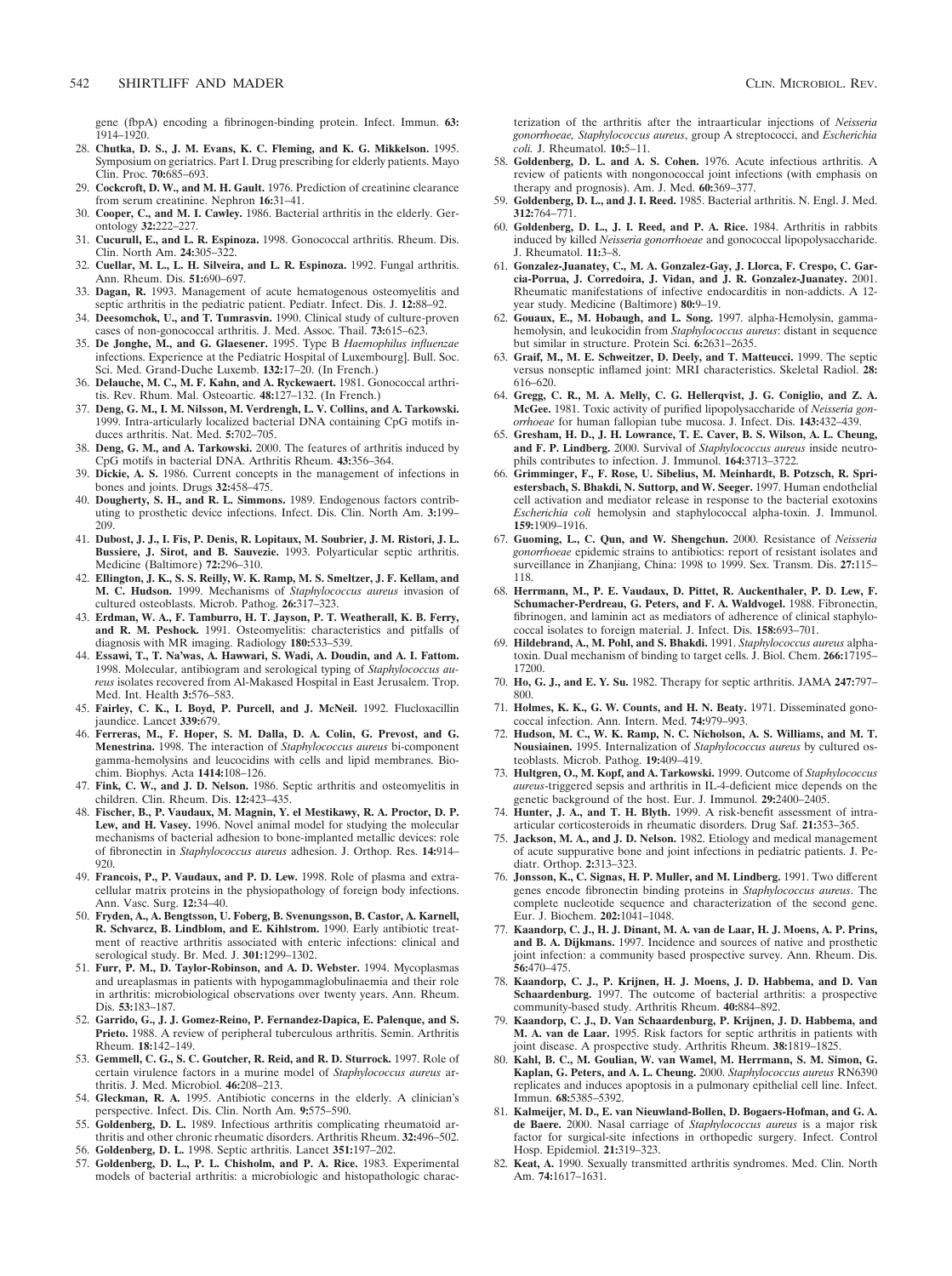gene (fbpA) encoding a fibrinogen-binding protein. Infect. Immun. **63:** 1914–1920.

- 28. **Chutka, D. S., J. M. Evans, K. C. Fleming, and K. G. Mikkelson.** 1995. Symposium on geriatrics. Part I. Drug prescribing for elderly patients. Mayo Clin. Proc. **70:**685–693.
- 29. **Cockcroft, D. W., and M. H. Gault.** 1976. Prediction of creatinine clearance from serum creatinine. Nephron **16:**31–41.
- 30. **Cooper, C., and M. I. Cawley.** 1986. Bacterial arthritis in the elderly. Gerontology **32:**222–227.
- 31. **Cucurull, E., and L. R. Espinoza.** 1998. Gonococcal arthritis. Rheum. Dis. Clin. North Am. **24:**305–322.
- 32. **Cuellar, M. L., L. H. Silveira, and L. R. Espinoza.** 1992. Fungal arthritis. Ann. Rheum. Dis. **51:**690–697.
- 33. **Dagan, R.** 1993. Management of acute hematogenous osteomyelitis and septic arthritis in the pediatric patient. Pediatr. Infect. Dis. J. **12:**88–92.
- 34. **Deesomchok, U., and T. Tumrasvin.** 1990. Clinical study of culture-proven cases of non-gonococcal arthritis. J. Med. Assoc. Thail. **73:**615–623.
- 35. **De Jonghe, M., and G. Glaesener.** 1995. Type B *Haemophilus influenzae* infections. Experience at the Pediatric Hospital of Luxembourg]. Bull. Soc. Sci. Med. Grand-Duche Luxemb. **132:**17–20. (In French.)
- 36. **Delauche, M. C., M. F. Kahn, and A. Ryckewaert.** 1981. Gonococcal arthritis. Rev. Rhum. Mal. Osteoartic. **48:**127–132. (In French.)
- 37. **Deng, G. M., I. M. Nilsson, M. Verdrengh, L. V. Collins, and A. Tarkowski.** 1999. Intra-articularly localized bacterial DNA containing CpG motifs induces arthritis. Nat. Med. **5:**702–705.
- 38. **Deng, G. M., and A. Tarkowski.** 2000. The features of arthritis induced by CpG motifs in bacterial DNA. Arthritis Rheum. **43:**356–364.
- 39. **Dickie, A. S.** 1986. Current concepts in the management of infections in bones and joints. Drugs **32:**458–475.
- 40. **Dougherty, S. H., and R. L. Simmons.** 1989. Endogenous factors contributing to prosthetic device infections. Infect. Dis. Clin. North Am. **3:**199– 209.
- 41. **Dubost, J. J., I. Fis, P. Denis, R. Lopitaux, M. Soubrier, J. M. Ristori, J. L. Bussiere, J. Sirot, and B. Sauvezie.** 1993. Polyarticular septic arthritis. Medicine (Baltimore) **72:**296–310.
- 42. **Ellington, J. K., S. S. Reilly, W. K. Ramp, M. S. Smeltzer, J. F. Kellam, and M. C. Hudson.** 1999. Mechanisms of *Staphylococcus aureus* invasion of cultured osteoblasts. Microb. Pathog. **26:**317–323.
- 43. **Erdman, W. A., F. Tamburro, H. T. Jayson, P. T. Weatherall, K. B. Ferry, and R. M. Peshock.** 1991. Osteomyelitis: characteristics and pitfalls of diagnosis with MR imaging. Radiology **180:**533–539.
- 44. **Essawi, T., T. Na'was, A. Hawwari, S. Wadi, A. Doudin, and A. I. Fattom.** 1998. Molecular, antibiogram and serological typing of *Staphylococcus aureus* isolates recovered from Al-Makased Hospital in East Jerusalem. Trop. Med. Int. Health **3:**576–583.
- 45. **Fairley, C. K., I. Boyd, P. Purcell, and J. McNeil.** 1992. Flucloxacillin jaundice. Lancet **339:**679.
- 46. **Ferreras, M., F. Hoper, S. M. Dalla, D. A. Colin, G. Prevost, and G. Menestrina.** 1998. The interaction of *Staphylococcus aureus* bi-component gamma-hemolysins and leucocidins with cells and lipid membranes. Biochim. Biophys. Acta **1414:**108–126.
- 47. **Fink, C. W., and J. D. Nelson.** 1986. Septic arthritis and osteomyelitis in children. Clin. Rheum. Dis. **12:**423–435.
- 48. **Fischer, B., P. Vaudaux, M. Magnin, Y. el Mestikawy, R. A. Proctor, D. P. Lew, and H. Vasey.** 1996. Novel animal model for studying the molecular mechanisms of bacterial adhesion to bone-implanted metallic devices: role of fibronectin in *Staphylococcus aureus* adhesion. J. Orthop. Res. **14:**914– 920.
- 49. **Francois, P., P. Vaudaux, and P. D. Lew.** 1998. Role of plasma and extracellular matrix proteins in the physiopathology of foreign body infections. Ann. Vasc. Surg. **12:**34–40.
- 50. **Fryden, A., A. Bengtsson, U. Foberg, B. Svenungsson, B. Castor, A. Karnell, R. Schvarcz, B. Lindblom, and E. Kihlstrom.** 1990. Early antibiotic treatment of reactive arthritis associated with enteric infections: clinical and serological study. Br. Med. J. **301:**1299–1302.
- 51. **Furr, P. M., D. Taylor-Robinson, and A. D. Webster.** 1994. Mycoplasmas and ureaplasmas in patients with hypogammaglobulinaemia and their role in arthritis: microbiological observations over twenty years. Ann. Rheum. Dis. **53:**183–187.
- 52. **Garrido, G., J. J. Gomez-Reino, P. Fernandez-Dapica, E. Palenque, and S. Prieto.** 1988. A review of peripheral tuberculous arthritis. Semin. Arthritis Rheum. **18:**142–149.
- 53. **Gemmell, C. G., S. C. Goutcher, R. Reid, and R. D. Sturrock.** 1997. Role of certain virulence factors in a murine model of *Staphylococcus aureus* arthritis. J. Med. Microbiol. **46:**208–213.
- 54. **Gleckman, R. A.** 1995. Antibiotic concerns in the elderly. A clinician's perspective. Infect. Dis. Clin. North Am. **9:**575–590.
- 55. **Goldenberg, D. L.** 1989. Infectious arthritis complicating rheumatoid arthritis and other chronic rheumatic disorders. Arthritis Rheum. **32:**496–502. 56. **Goldenberg, D. L.** 1998. Septic arthritis. Lancet **351:**197–202.
- 
- 57. **Goldenberg, D. L., P. L. Chisholm, and P. A. Rice.** 1983. Experimental models of bacterial arthritis: a microbiologic and histopathologic charac-

terization of the arthritis after the intraarticular injections of *Neisseria gonorrhoeae, Staphylococcus aureus*, group A streptococci, and *Escherichia coli.* J. Rheumatol. **10:**5–11.

- 58. **Goldenberg, D. L. and A. S. Cohen.** 1976. Acute infectious arthritis. A review of patients with nongonococcal joint infections (with emphasis on therapy and prognosis). Am. J. Med. **60:**369–377.
- 59. **Goldenberg, D. L., and J. I. Reed.** 1985. Bacterial arthritis. N. Engl. J. Med. **312:**764–771.
- 60. **Goldenberg, D. L., J. I. Reed, and P. A. Rice.** 1984. Arthritis in rabbits induced by killed *Neisseria gonorrhoeae* and gonococcal lipopolysaccharide. J. Rheumatol. **11:**3–8.
- 61. **Gonzalez-Juanatey, C., M. A. Gonzalez-Gay, J. Llorca, F. Crespo, C. Garcia-Porrua, J. Corredoira, J. Vidan, and J. R. Gonzalez-Juanatey.** 2001. Rheumatic manifestations of infective endocarditis in non-addicts. A 12 year study. Medicine (Baltimore) **80:**9–19.
- 62. **Gouaux, E., M. Hobaugh, and L. Song.** 1997. alpha-Hemolysin, gammahemolysin, and leukocidin from *Staphylococcus aureus*: distant in sequence but similar in structure. Protein Sci. **6:**2631–2635.
- 63. **Graif, M., M. E. Schweitzer, D. Deely, and T. Matteucci.** 1999. The septic versus nonseptic inflamed joint: MRI characteristics. Skeletal Radiol. **28:** 616–620.
- 64. **Gregg, C. R., M. A. Melly, C. G. Hellerqvist, J. G. Coniglio, and Z. A. McGee.** 1981. Toxic activity of purified lipopolysaccharide of *Neisseria gonorrhoeae* for human fallopian tube mucosa. J. Infect. Dis. **143:**432–439.
- 65. **Gresham, H. D., J. H. Lowrance, T. E. Caver, B. S. Wilson, A. L. Cheung, and F. P. Lindberg.** 2000. Survival of *Staphylococcus aureus* inside neutrophils contributes to infection. J. Immunol. **164:**3713–3722.
- 66. **Grimminger, F., F. Rose, U. Sibelius, M. Meinhardt, B. Potzsch, R. Spriestersbach, S. Bhakdi, N. Suttorp, and W. Seeger.** 1997. Human endothelial cell activation and mediator release in response to the bacterial exotoxins *Escherichia coli* hemolysin and staphylococcal alpha-toxin. J. Immunol. **159:**1909–1916.
- 67. **Guoming, L., C. Qun, and W. Shengchun.** 2000. Resistance of *Neisseria gonorrhoeae* epidemic strains to antibiotics: report of resistant isolates and surveillance in Zhanjiang, China: 1998 to 1999. Sex. Transm. Dis. **27:**115– 118.
- 68. **Herrmann, M., P. E. Vaudaux, D. Pittet, R. Auckenthaler, P. D. Lew, F. Schumacher-Perdreau, G. Peters, and F. A. Waldvogel.** 1988. Fibronectin, fibrinogen, and laminin act as mediators of adherence of clinical staphylococcal isolates to foreign material. J. Infect. Dis. **158:**693–701.
- 69. **Hildebrand, A., M. Pohl, and S. Bhakdi.** 1991. *Staphylococcus aureus* alphatoxin. Dual mechanism of binding to target cells. J. Biol. Chem. **266:**17195– 17200.
- 70. **Ho, G. J., and E. Y. Su.** 1982. Therapy for septic arthritis. JAMA **247:**797– 800.
- 71. **Holmes, K. K., G. W. Counts, and H. N. Beaty.** 1971. Disseminated gonococcal infection. Ann. Intern. Med. **74:**979–993.
- 72. **Hudson, M. C., W. K. Ramp, N. C. Nicholson, A. S. Williams, and M. T. Nousiainen.** 1995. Internalization of *Staphylococcus aureus* by cultured osteoblasts. Microb. Pathog. **19:**409–419.
- 73. **Hultgren, O., M. Kopf, and A. Tarkowski.** 1999. Outcome of *Staphylococcus aureus*-triggered sepsis and arthritis in IL-4-deficient mice depends on the genetic background of the host. Eur. J. Immunol. **29:**2400–2405.
- 74. **Hunter, J. A., and T. H. Blyth.** 1999. A risk-benefit assessment of intraarticular corticosteroids in rheumatic disorders. Drug Saf. **21:**353–365.
- 75. **Jackson, M. A., and J. D. Nelson.** 1982. Etiology and medical management of acute suppurative bone and joint infections in pediatric patients. J. Pediatr. Orthop. **2:**313–323.
- 76. **Jonsson, K., C. Signas, H. P. Muller, and M. Lindberg.** 1991. Two different genes encode fibronectin binding proteins in *Staphylococcus aureus*. The complete nucleotide sequence and characterization of the second gene. Eur. J. Biochem. **202:**1041–1048.
- 77. **Kaandorp, C. J., H. J. Dinant, M. A. van de Laar, H. J. Moens, A. P. Prins, and B. A. Dijkmans.** 1997. Incidence and sources of native and prosthetic joint infection: a community based prospective survey. Ann. Rheum. Dis. **56:**470–475.
- 78. **Kaandorp, C. J., P. Krijnen, H. J. Moens, J. D. Habbema, and D. Van Schaardenburg.** 1997. The outcome of bacterial arthritis: a prospective community-based study. Arthritis Rheum. **40:**884–892.
- 79. **Kaandorp, C. J., D. Van Schaardenburg, P. Krijnen, J. D. Habbema, and M. A. van de Laar.** 1995. Risk factors for septic arthritis in patients with joint disease. A prospective study. Arthritis Rheum. **38:**1819–1825.
- 80. **Kahl, B. C., M. Goulian, W. van Wamel, M. Herrmann, S. M. Simon, G. Kaplan, G. Peters, and A. L. Cheung.** 2000. *Staphylococcus aureus* RN6390 replicates and induces apoptosis in a pulmonary epithelial cell line. Infect. Immun. **68:**5385–5392.
- 81. **Kalmeijer, M. D., E. van Nieuwland-Bollen, D. Bogaers-Hofman, and G. A. de Baere.** 2000. Nasal carriage of *Staphylococcus aureus* is a major risk factor for surgical-site infections in orthopedic surgery. Infect. Control Hosp. Epidemiol. **21:**319–323.
- 82. **Keat, A.** 1990. Sexually transmitted arthritis syndromes. Med. Clin. North Am. **74:**1617–1631.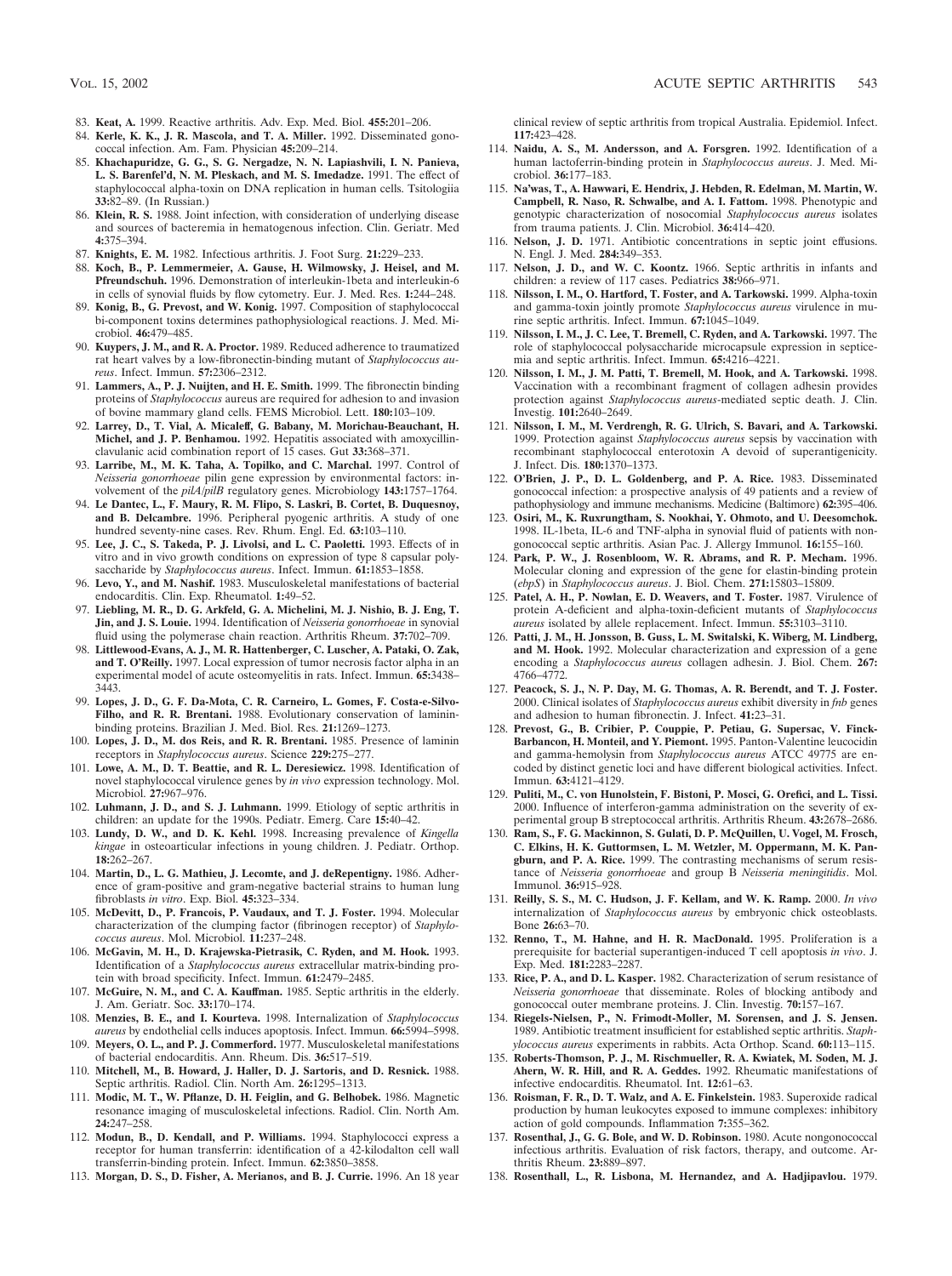- 83. **Keat, A.** 1999. Reactive arthritis. Adv. Exp. Med. Biol. **455:**201–206.
- 84. **Kerle, K. K., J. R. Mascola, and T. A. Miller.** 1992. Disseminated gonococcal infection. Am. Fam. Physician **45:**209–214.
- 85. **Khachapuridze, G. G., S. G. Nergadze, N. N. Lapiashvili, I. N. Panieva, L. S. Barenfel'd, N. M. Pleskach, and M. S. Imedadze.** 1991. The effect of staphylococcal alpha-toxin on DNA replication in human cells. Tsitologiia **33:**82–89. (In Russian.)
- 86. **Klein, R. S.** 1988. Joint infection, with consideration of underlying disease and sources of bacteremia in hematogenous infection. Clin. Geriatr. Med **4:**375–394.
- 87. **Knights, E. M.** 1982. Infectious arthritis. J. Foot Surg. **21:**229–233.
- 88. **Koch, B., P. Lemmermeier, A. Gause, H. Wilmowsky, J. Heisel, and M. Pfreundschuh.** 1996. Demonstration of interleukin-1beta and interleukin-6 in cells of synovial fluids by flow cytometry. Eur. J. Med. Res. **1:**244–248.
- 89. **Konig, B., G. Prevost, and W. Konig.** 1997. Composition of staphylococcal bi-component toxins determines pathophysiological reactions. J. Med. Microbiol. **46:**479–485.
- 90. **Kuypers, J. M., and R. A. Proctor.** 1989. Reduced adherence to traumatized rat heart valves by a low-fibronectin-binding mutant of *Staphylococcus aureus*. Infect. Immun. **57:**2306–2312.
- 91. **Lammers, A., P. J. Nuijten, and H. E. Smith.** 1999. The fibronectin binding proteins of *Staphylococcus* aureus are required for adhesion to and invasion of bovine mammary gland cells. FEMS Microbiol. Lett. **180:**103–109.
- 92. **Larrey, D., T. Vial, A. Micaleff, G. Babany, M. Morichau-Beauchant, H. Michel, and J. P. Benhamou.** 1992. Hepatitis associated with amoxycillinclavulanic acid combination report of 15 cases. Gut **33:**368–371.
- 93. **Larribe, M., M. K. Taha, A. Topilko, and C. Marchal.** 1997. Control of *Neisseria gonorrhoeae* pilin gene expression by environmental factors: involvement of the *pilA/pilB* regulatory genes. Microbiology **143:**1757–1764.
- 94. **Le Dantec, L., F. Maury, R. M. Flipo, S. Laskri, B. Cortet, B. Duquesnoy, and B. Delcambre.** 1996. Peripheral pyogenic arthritis. A study of one hundred seventy-nine cases. Rev. Rhum. Engl. Ed. **63:**103–110.
- 95. **Lee, J. C., S. Takeda, P. J. Livolsi, and L. C. Paoletti.** 1993. Effects of in vitro and in vivo growth conditions on expression of type 8 capsular polysaccharide by *Staphylococcus aureus*. Infect. Immun. **61:**1853–1858.
- 96. **Levo, Y., and M. Nashif.** 1983. Musculoskeletal manifestations of bacterial endocarditis. Clin. Exp. Rheumatol. **1:**49–52.
- 97. **Liebling, M. R., D. G. Arkfeld, G. A. Michelini, M. J. Nishio, B. J. Eng, T. Jin, and J. S. Louie.** 1994. Identification of *Neisseria gonorrhoeae* in synovial fluid using the polymerase chain reaction. Arthritis Rheum. **37:**702–709.
- 98. **Littlewood-Evans, A. J., M. R. Hattenberger, C. Luscher, A. Pataki, O. Zak, and T. O'Reilly.** 1997. Local expression of tumor necrosis factor alpha in an experimental model of acute osteomyelitis in rats. Infect. Immun. **65:**3438– 3443.
- 99. **Lopes, J. D., G. F. Da-Mota, C. R. Carneiro, L. Gomes, F. Costa-e-Silvo-**Filho, and R. R. Brentani. 1988. Evolutionary conservation of lamininbinding proteins. Brazilian J. Med. Biol. Res. **21:**1269–1273.
- 100. **Lopes, J. D., M. dos Reis, and R. R. Brentani.** 1985. Presence of laminin receptors in *Staphylococcus aureus*. Science **229:**275–277.
- 101. **Lowe, A. M., D. T. Beattie, and R. L. Deresiewicz.** 1998. Identification of novel staphylococcal virulence genes by *in vivo* expression technology. Mol. Microbiol. **27:**967–976.
- 102. **Luhmann, J. D., and S. J. Luhmann.** 1999. Etiology of septic arthritis in children: an update for the 1990s. Pediatr. Emerg. Care **15:**40–42.
- 103. **Lundy, D. W., and D. K. Kehl.** 1998. Increasing prevalence of *Kingella kingae* in osteoarticular infections in young children. J. Pediatr. Orthop. **18:**262–267.
- 104. **Martin, D., L. G. Mathieu, J. Lecomte, and J. deRepentigny.** 1986. Adherence of gram-positive and gram-negative bacterial strains to human lung fibroblasts *in vitro*. Exp. Biol. **45:**323–334.
- 105. **McDevitt, D., P. Francois, P. Vaudaux, and T. J. Foster.** 1994. Molecular characterization of the clumping factor (fibrinogen receptor) of *Staphylococcus aureus*. Mol. Microbiol. **11:**237–248.
- 106. **McGavin, M. H., D. Krajewska-Pietrasik, C. Ryden, and M. Hook.** 1993. Identification of a *Staphylococcus aureus* extracellular matrix-binding protein with broad specificity. Infect. Immun. **61:**2479–2485.
- 107. **McGuire, N. M., and C. A. Kauffman.** 1985. Septic arthritis in the elderly. J. Am. Geriatr. Soc. **33:**170–174.
- 108. **Menzies, B. E., and I. Kourteva.** 1998. Internalization of *Staphylococcus aureus* by endothelial cells induces apoptosis. Infect. Immun. **66:**5994–5998.
- 109. **Meyers, O. L., and P. J. Commerford.** 1977. Musculoskeletal manifestations of bacterial endocarditis. Ann. Rheum. Dis. **36:**517–519.
- 110. **Mitchell, M., B. Howard, J. Haller, D. J. Sartoris, and D. Resnick.** 1988. Septic arthritis. Radiol. Clin. North Am. **26:**1295–1313.
- 111. **Modic, M. T., W. Pflanze, D. H. Feiglin, and G. Belhobek.** 1986. Magnetic resonance imaging of musculoskeletal infections. Radiol. Clin. North Am. **24:**247–258.
- 112. **Modun, B., D. Kendall, and P. Williams.** 1994. Staphylococci express a receptor for human transferrin: identification of a 42-kilodalton cell wall transferrin-binding protein. Infect. Immun. **62:**3850–3858.
- 113. **Morgan, D. S., D. Fisher, A. Merianos, and B. J. Currie.** 1996. An 18 year

clinical review of septic arthritis from tropical Australia. Epidemiol. Infect. **117:**423–428.

- 114. **Naidu, A. S., M. Andersson, and A. Forsgren.** 1992. Identification of a human lactoferrin-binding protein in *Staphylococcus aureus*. J. Med. Microbiol. **36:**177–183.
- 115. **Na'was, T., A. Hawwari, E. Hendrix, J. Hebden, R. Edelman, M. Martin, W. Campbell, R. Naso, R. Schwalbe, and A. I. Fattom.** 1998. Phenotypic and genotypic characterization of nosocomial *Staphylococcus aureus* isolates from trauma patients. J. Clin. Microbiol. **36:**414–420.
- 116. **Nelson, J. D.** 1971. Antibiotic concentrations in septic joint effusions. N. Engl. J. Med. **284:**349–353.
- 117. **Nelson, J. D., and W. C. Koontz.** 1966. Septic arthritis in infants and children: a review of 117 cases. Pediatrics **38:**966–971.
- 118. **Nilsson, I. M., O. Hartford, T. Foster, and A. Tarkowski.** 1999. Alpha-toxin and gamma-toxin jointly promote *Staphylococcus aureus* virulence in murine septic arthritis. Infect. Immun. **67:**1045–1049.
- 119. **Nilsson, I. M., J. C. Lee, T. Bremell, C. Ryden, and A. Tarkowski.** 1997. The role of staphylococcal polysaccharide microcapsule expression in septicemia and septic arthritis. Infect. Immun. **65:**4216–4221.
- 120. **Nilsson, I. M., J. M. Patti, T. Bremell, M. Hook, and A. Tarkowski.** 1998. Vaccination with a recombinant fragment of collagen adhesin provides protection against *Staphylococcus aureus*-mediated septic death. J. Clin. Investig. **101:**2640–2649.
- 121. **Nilsson, I. M., M. Verdrengh, R. G. Ulrich, S. Bavari, and A. Tarkowski.** 1999. Protection against *Staphylococcus aureus* sepsis by vaccination with recombinant staphylococcal enterotoxin A devoid of superantigenicity. J. Infect. Dis. **180:**1370–1373.
- 122. **O'Brien, J. P., D. L. Goldenberg, and P. A. Rice.** 1983. Disseminated gonococcal infection: a prospective analysis of 49 patients and a review of pathophysiology and immune mechanisms. Medicine (Baltimore) **62:**395–406.
- 123. **Osiri, M., K. Ruxrungtham, S. Nookhai, Y. Ohmoto, and U. Deesomchok.** 1998. IL-1beta, IL-6 and TNF-alpha in synovial fluid of patients with nongonococcal septic arthritis. Asian Pac. J. Allergy Immunol. **16:**155–160.
- 124. **Park, P. W., J. Rosenbloom, W. R. Abrams, and R. P. Mecham.** 1996. Molecular cloning and expression of the gene for elastin-binding protein (*ebpS*) in *Staphylococcus aureus*. J. Biol. Chem. **271:**15803–15809.
- 125. **Patel, A. H., P. Nowlan, E. D. Weavers, and T. Foster.** 1987. Virulence of protein A-deficient and alpha-toxin-deficient mutants of *Staphylococcus aureus* isolated by allele replacement. Infect. Immun. **55:**3103–3110.
- 126. **Patti, J. M., H. Jonsson, B. Guss, L. M. Switalski, K. Wiberg, M. Lindberg, and M. Hook.** 1992. Molecular characterization and expression of a gene encoding a *Staphylococcus aureus* collagen adhesin. J. Biol. Chem. **267:** 4766–4772.
- 127. **Peacock, S. J., N. P. Day, M. G. Thomas, A. R. Berendt, and T. J. Foster.** 2000. Clinical isolates of *Staphylococcus aureus* exhibit diversity in *fnb* genes and adhesion to human fibronectin. J. Infect. **41:**23–31.
- 128. **Prevost, G., B. Cribier, P. Couppie, P. Petiau, G. Supersac, V. Finck-Barbancon, H. Monteil, and Y. Piemont.** 1995. Panton-Valentine leucocidin and gamma-hemolysin from *Staphylococcus aureus* ATCC 49775 are encoded by distinct genetic loci and have different biological activities. Infect. Immun. **63:**4121–4129.
- 129. **Puliti, M., C. von Hunolstein, F. Bistoni, P. Mosci, G. Orefici, and L. Tissi.** 2000. Influence of interferon-gamma administration on the severity of experimental group B streptococcal arthritis. Arthritis Rheum. **43:**2678–2686.
- 130. **Ram, S., F. G. Mackinnon, S. Gulati, D. P. McQuillen, U. Vogel, M. Frosch, C. Elkins, H. K. Guttormsen, L. M. Wetzler, M. Oppermann, M. K. Pangburn, and P. A. Rice.** 1999. The contrasting mechanisms of serum resistance of *Neisseria gonorrhoeae* and group B *Neisseria meningitidis*. Mol. Immunol. **36:**915–928.
- 131. **Reilly, S. S., M. C. Hudson, J. F. Kellam, and W. K. Ramp.** 2000. *In vivo* internalization of *Staphylococcus aureus* by embryonic chick osteoblasts. Bone **26:**63–70.
- 132. **Renno, T., M. Hahne, and H. R. MacDonald.** 1995. Proliferation is a prerequisite for bacterial superantigen-induced T cell apoptosis *in vivo*. J. Exp. Med. **181:**2283–2287.
- 133. **Rice, P. A., and D. L. Kasper.** 1982. Characterization of serum resistance of *Neisseria gonorrhoeae* that disseminate. Roles of blocking antibody and gonococcal outer membrane proteins. J. Clin. Investig. **70:**157–167.
- 134. **Riegels-Nielsen, P., N. Frimodt-Moller, M. Sorensen, and J. S. Jensen.** 1989. Antibiotic treatment insufficient for established septic arthritis. *Staphylococcus aureus* experiments in rabbits. Acta Orthop. Scand. **60:**113–115.
- 135. **Roberts-Thomson, P. J., M. Rischmueller, R. A. Kwiatek, M. Soden, M. J. Ahern, W. R. Hill, and R. A. Geddes.** 1992. Rheumatic manifestations of infective endocarditis. Rheumatol. Int. **12:**61–63.
- 136. **Roisman, F. R., D. T. Walz, and A. E. Finkelstein.** 1983. Superoxide radical production by human leukocytes exposed to immune complexes: inhibitory action of gold compounds. Inflammation **7:**355–362.
- 137. **Rosenthal, J., G. G. Bole, and W. D. Robinson.** 1980. Acute nongonococcal infectious arthritis. Evaluation of risk factors, therapy, and outcome. Arthritis Rheum. **23:**889–897.
- 138. **Rosenthall, L., R. Lisbona, M. Hernandez, and A. Hadjipavlou.** 1979.